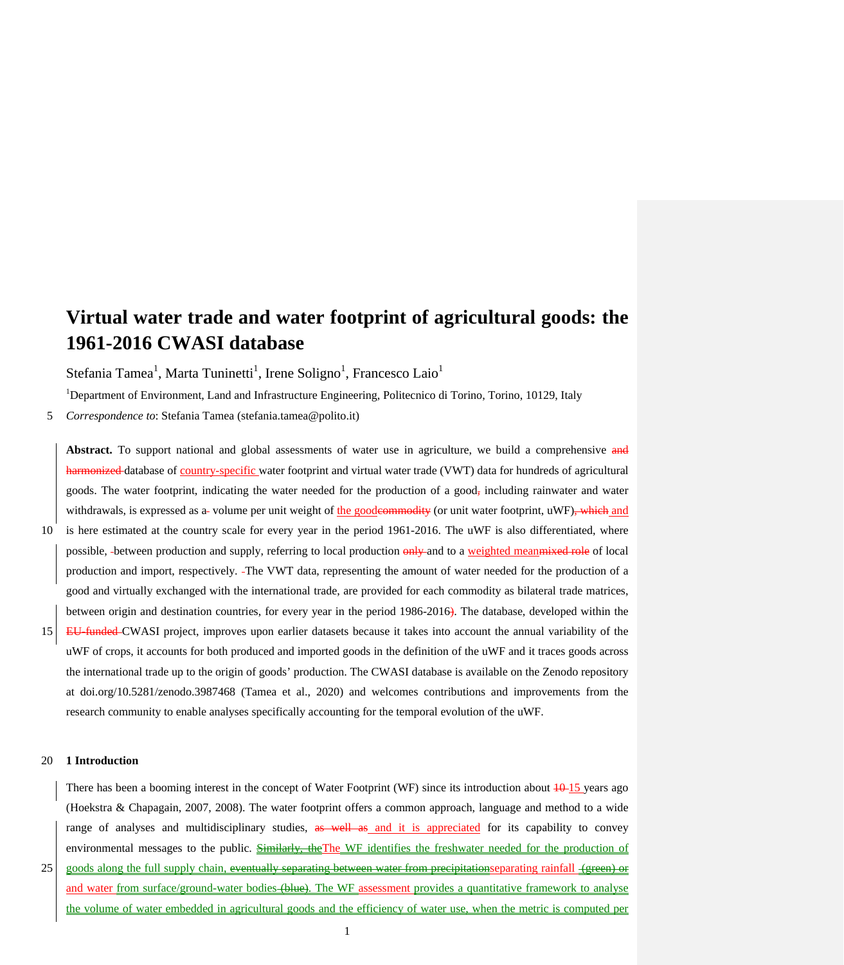# **Virtual water trade and water footprint of agricultural goods: the 1961-2016 CWASI database**

Stefania Tamea<sup>1</sup>, Marta Tuninetti<sup>1</sup>, Irene Soligno<sup>1</sup>, Francesco Laio<sup>1</sup>

<sup>1</sup>Department of Environment, Land and Infrastructure Engineering, Politecnico di Torino, Torino, 10129, Italy

5 *Correspondence to*: Stefania Tamea (stefania.tamea@polito.it)

Abstract. To support national and global assessments of water use in agriculture, we build a comprehensive and harmonized database of country-specific water footprint and virtual water trade (VWT) data for hundreds of agricultural goods. The water footprint, indicating the water needed for the production of a good<sub>r</sub> including rainwater and water withdrawals, is expressed as a volume per unit weight of the goode<del>ommodity</del> (or unit water footprint, uWF), which and 10 is here estimated at the country scale for every year in the period 1961-2016. The uWF is also differentiated, where possible, between production and supply, referring to local production only and to a weighted meanmixed role of local production and import, respectively. The VWT data, representing the amount of water needed for the production of a good and virtually exchanged with the international trade, are provided for each commodity as bilateral trade matrices, between origin and destination countries, for every year in the period 1986-2016). The database, developed within the 15 EU-funded CWASI project, improves upon earlier datasets because it takes into account the annual variability of the uWF of crops, it accounts for both produced and imported goods in the definition of the uWF and it traces goods across the international trade up to the origin of goods' production. The CWASI database is available on the Zenodo repository at doi.org/10.5281/zenodo.3987468 (Tamea et al., 2020) and welcomes contributions and improvements from the research community to enable analyses specifically accounting for the temporal evolution of the uWF.

## 20 **1 Introduction**

There has been a booming interest in the concept of Water Footprint (WF) since its introduction about  $\frac{10-15}{15}$  years ago (Hoekstra & Chapagain, 2007, 2008). The water footprint offers a common approach, language and method to a wide range of analyses and multidisciplinary studies, as well as and it is appreciated for its capability to convey environmental messages to the public. Similarly, the The WF identifies the freshwater needed for the production of 25 goods along the full supply chain, eventually separating between water from precipitationseparating rainfall (green) or and water from surface/ground-water bodies (blue). The WF assessment provides a quantitative framework to analyse the volume of water embedded in agricultural goods and the efficiency of water use, when the metric is computed per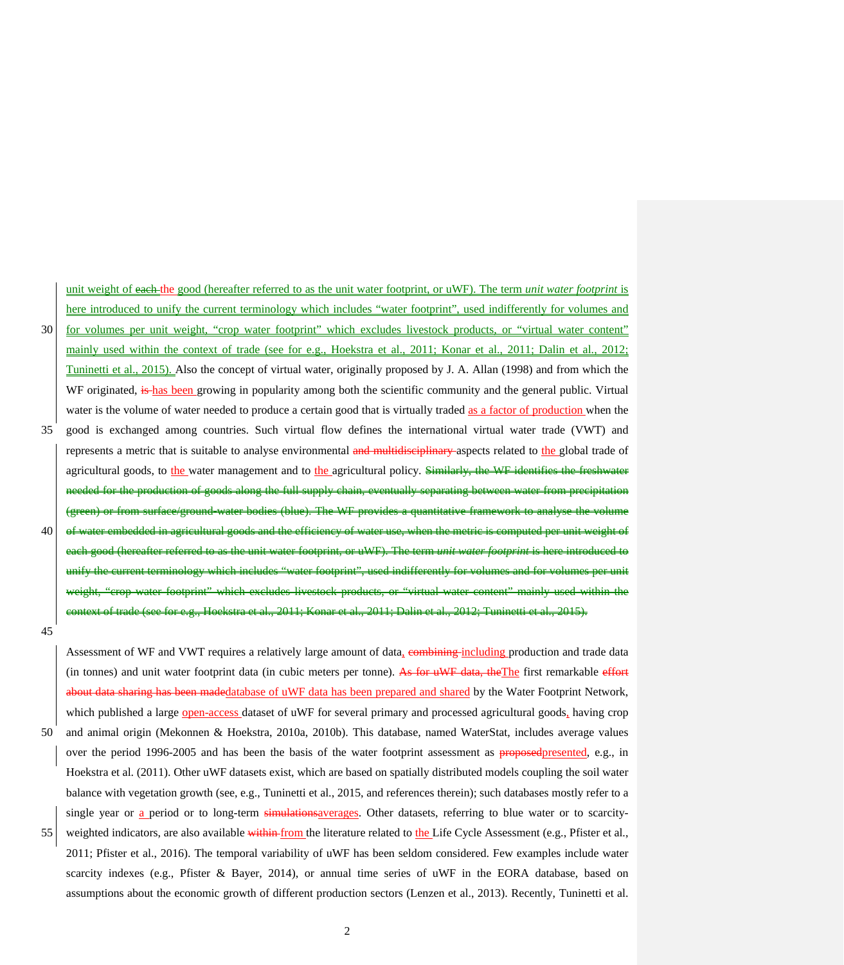unit weight of each the good (hereafter referred to as the unit water footprint, or uWF). The term *unit water footprint* is here introduced to unify the current terminology which includes "water footprint", used indifferently for volumes and 30 for volumes per unit weight, "crop water footprint" which excludes livestock products, or "virtual water content" mainly used within the context of trade (see for e.g., Hoekstra et al., 2011; Konar et al., 2011; Dalin et al., 2012; Tuninetti et al., 2015). Also the concept of virtual water, originally proposed by J. A. Allan (1998) and from which the WF originated, is has been growing in popularity among both the scientific community and the general public. Virtual water is the volume of water needed to produce a certain good that is virtually traded as a factor of production when the 35 good is exchanged among countries. Such virtual flow defines the international virtual water trade (VWT) and represents a metric that is suitable to analyse environmental and multidisciplinary aspects related to the global trade of agricultural goods, to the water management and to the agricultural policy. Similarly, the WF identifies the freshwater of goods along the full supply chain, eventually separating between water from precipitation (green) or from surface/ground-water bodies (blue). The WF provides a quantitative framework to analyse the volume  $40$  of water embedded in agricultural goods and the efficiency of water use, when the metric is computed per unit weight of each good (hereafter referred to as the unit water footprint, or uWF). The term *unit water footprint* is here introduced to unify the current terminology which includes "water footprint", used indifferently for volumes and for volumes per unit weight, "crop water footprint" which excludes livestock products, or "virtual water content" mainly used within the context of trade (see for e.g., Hoekstra et al., 2011; Konar et al., 2011; Dalin et al., 2012; Tuninetti et al., 2015).

45

Assessment of WF and VWT requires a relatively large amount of data, combining including production and trade data (in tonnes) and unit water footprint data (in cubic meters per tonne). As for uWF data, theThe first remarkable effort sharing has been madedatabase of uWF data has been prepared and shared by the Water Footprint Network, which published a large open-access dataset of uWF for several primary and processed agricultural goods, having crop 50 and animal origin (Mekonnen & Hoekstra, 2010a, 2010b). This database, named WaterStat, includes average values over the period 1996-2005 and has been the basis of the water footprint assessment as **proposed**presented, e.g., in Hoekstra et al. (2011). Other uWF datasets exist, which are based on spatially distributed models coupling the soil water balance with vegetation growth (see, e.g., Tuninetti et al., 2015, and references therein); such databases mostly refer to a single year or a period or to long-term simulations averages. Other datasets, referring to blue water or to scarcity-55 weighted indicators, are also available within from the literature related to the Life Cycle Assessment (e.g., Pfister et al., 2011; Pfister et al., 2016). The temporal variability of uWF has been seldom considered. Few examples include water scarcity indexes (e.g., Pfister & Bayer, 2014), or annual time series of uWF in the EORA database, based on

2

assumptions about the economic growth of different production sectors (Lenzen et al., 2013). Recently, Tuninetti et al.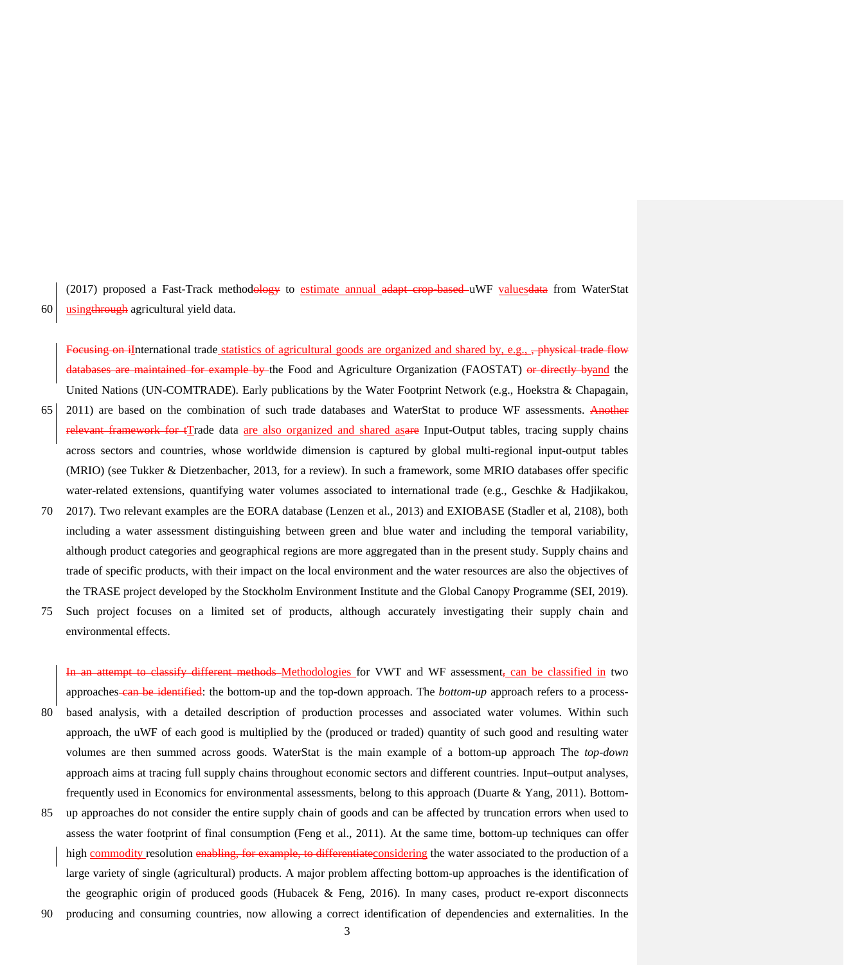(2017) proposed a Fast-Track methodology to estimate annual adapt crop-based uWF valuesdata from WaterStat 60 usingthrough agricultural yield data.

Focusing on iInternational trade statistics of agricultural goods are organized and shared by, e.g., <del>, physical trade flow</del> example by the Food and Agriculture Organization (FAOSTAT) or directly byand the United Nations (UN-COMTRADE). Early publications by the Water Footprint Network (e.g., Hoekstra & Chapagain,

- 65 2011) are based on the combination of such trade databases and WaterStat to produce WF assessments. Another relevant framework for tTrade data are also organized and shared asare Input-Output tables, tracing supply chains across sectors and countries, whose worldwide dimension is captured by global multi-regional input-output tables (MRIO) (see Tukker & Dietzenbacher, 2013, for a review). In such a framework, some MRIO databases offer specific water-related extensions, quantifying water volumes associated to international trade (e.g., Geschke & Hadjikakou,
- 70 2017). Two relevant examples are the EORA database (Lenzen et al., 2013) and EXIOBASE (Stadler et al, 2108), both including a water assessment distinguishing between green and blue water and including the temporal variability, although product categories and geographical regions are more aggregated than in the present study. Supply chains and trade of specific products, with their impact on the local environment and the water resources are also the objectives of the TRASE project developed by the Stockholm Environment Institute and the Global Canopy Programme (SEI, 2019).
- 75 Such project focuses on a limited set of products, although accurately investigating their supply chain and environmental effects.

attempt to classify different methods–Methodologies for VWT and WF assessment, can be classified in two approaches can be identified: the bottom-up and the top-down approach. The *bottom-up* approach refers to a process-80 based analysis, with a detailed description of production processes and associated water volumes. Within such approach, the uWF of each good is multiplied by the (produced or traded) quantity of such good and resulting water volumes are then summed across goods. WaterStat is the main example of a bottom-up approach The *top-down* approach aims at tracing full supply chains throughout economic sectors and different countries. Input–output analyses, frequently used in Economics for environmental assessments, belong to this approach (Duarte & Yang, 2011). Bottom-

- 85 up approaches do not consider the entire supply chain of goods and can be affected by truncation errors when used to assess the water footprint of final consumption (Feng et al., 2011). At the same time, bottom-up techniques can offer high commodity resolution enabling, for example, to differentiate considering the water associated to the production of a large variety of single (agricultural) products. A major problem affecting bottom-up approaches is the identification of the geographic origin of produced goods (Hubacek & Feng, 2016). In many cases, product re-export disconnects
- 90 producing and consuming countries, now allowing a correct identification of dependencies and externalities. In the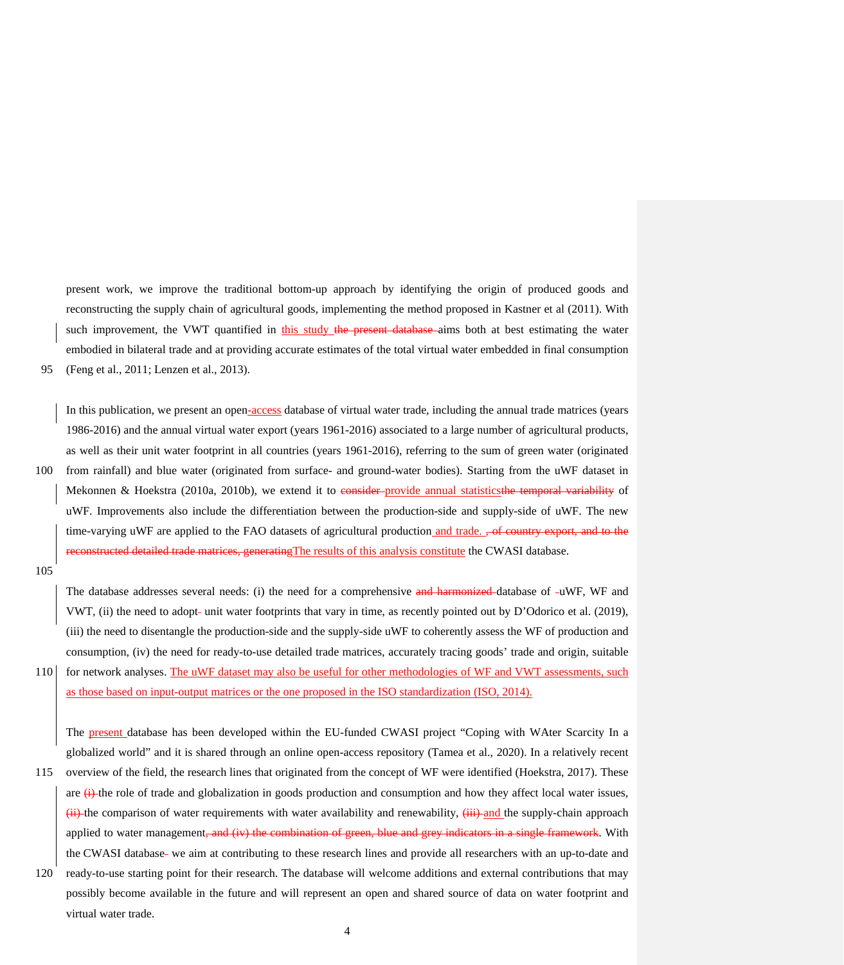present work, we improve the traditional bottom-up approach by identifying the origin of produced goods and reconstructing the supply chain of agricultural goods, implementing the method proposed in Kastner et al (2011). With such improvement, the VWT quantified in this study the present database aims both at best estimating the water embodied in bilateral trade and at providing accurate estimates of the total virtual water embedded in final consumption 95 (Feng et al., 2011; Lenzen et al., 2013).

In this publication, we present an open-access database of virtual water trade, including the annual trade matrices (years 1986-2016) and the annual virtual water export (years 1961-2016) associated to a large number of agricultural products, as well as their unit water footprint in all countries (years 1961-2016), referring to the sum of green water (originated 100 from rainfall) and blue water (originated from surface- and ground-water bodies). Starting from the uWF dataset in Mekonnen & Hoekstra (2010a, 2010b), we extend it to consider-provide annual statistics the temporal variability of uWF. Improvements also include the differentiation between the production-side and supply-side of uWF. The new time-varying uWF are applied to the FAO datasets of agricultural production and trade. <del>, of country export, and to the</del> **Example 3** and the unit of the matrices, generating The results of this analysis constitute the CWASI database.

105

virtual water trade.

The database addresses several needs: (i) the need for a comprehensive and harmonized database of -uWF, WF and VWT, (ii) the need to adopt- unit water footprints that vary in time, as recently pointed out by D'Odorico et al. (2019), (iii) the need to disentangle the production-side and the supply-side uWF to coherently assess the WF of production and consumption, (iv) the need for ready-to-use detailed trade matrices, accurately tracing goods' trade and origin, suitable 110 for network analyses. The uWF dataset may also be useful for other methodologies of WF and VWT assessments, such as those based on input-output matrices or the one proposed in the ISO standardization (ISO, 2014).

The present database has been developed within the EU-funded CWASI project "Coping with WAter Scarcity In a globalized world" and it is shared through an online open-access repository (Tamea et al., 2020). In a relatively recent

- 115 overview of the field, the research lines that originated from the concept of WF were identified (Hoekstra, 2017). These are  $\leftrightarrow$  the role of trade and globalization in goods production and consumption and how they affect local water issues,  $\frac{1}{11}$  the comparison of water requirements with water availability and renewability,  $\frac{1}{11}$  and the supply-chain approach applied to water management<del>, and (iv) the combination of green, blue and grey indicators in a single framework</del>. With the CWASI database- we aim at contributing to these research lines and provide all researchers with an up-to-date and 120 ready-to-use starting point for their research. The database will welcome additions and external contributions that may possibly become available in the future and will represent an open and shared source of data on water footprint and
	- 4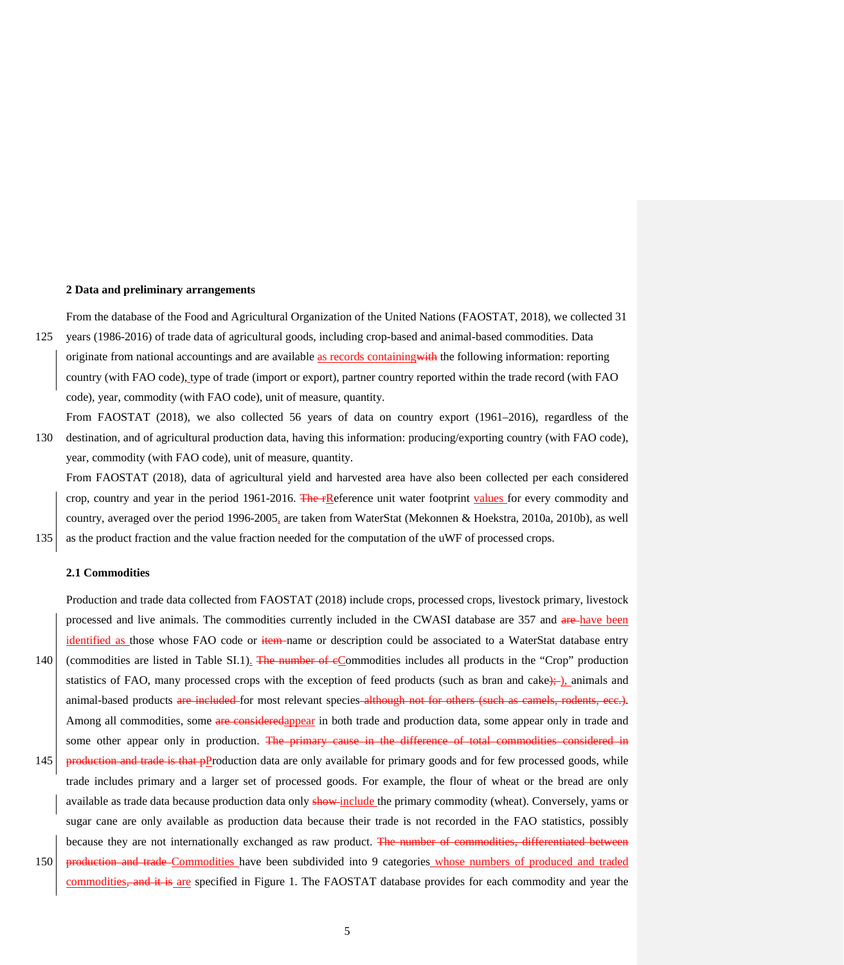## **2 Data and preliminary arrangements**

From the database of the Food and Agricultural Organization of the United Nations (FAOSTAT, 2018), we collected 31 125 years (1986-2016) of trade data of agricultural goods, including crop-based and animal-based commodities. Data

originate from national accountings and are available as records containing with the following information: reporting country (with FAO code), type of trade (import or export), partner country reported within the trade record (with FAO code), year, commodity (with FAO code), unit of measure, quantity.

From FAOSTAT (2018), we also collected 56 years of data on country export (1961–2016), regardless of the 130 destination, and of agricultural production data, having this information: producing/exporting country (with FAO code), year, commodity (with FAO code), unit of measure, quantity.

From FAOSTAT (2018), data of agricultural yield and harvested area have also been collected per each considered crop, country and year in the period 1961-2016. The  $\text{FRe}$  Feference unit water footprint values for every commodity and country, averaged over the period 1996-2005, are taken from WaterStat (Mekonnen & Hoekstra, 2010a, 2010b), as well 135 as the product fraction and the value fraction needed for the computation of the uWF of processed crops.

#### **2.1 Commodities**

Production and trade data collected from FAOSTAT (2018) include crops, processed crops, livestock primary, livestock processed and live animals. The commodities currently included in the CWASI database are 357 and are have been identified as those whose FAO code or item name or description could be associated to a WaterStat database entry 140 (commodities are listed in Table SI.1). The number of cCommodities includes all products in the "Crop" production statistics of FAO, many processed crops with the exception of feed products (such as bran and cake); ), animals and animal-based products are included for most relevant species although not for others (such as camels, rodents, ecc.). Among all commodities, some are consideredappear in both trade and production data, some appear only in trade and

some other appear only in production. The primary cause in the difference of total commodities considered in

145 production and trade is that pProduction data are only available for primary goods and for few processed goods, while trade includes primary and a larger set of processed goods. For example, the flour of wheat or the bread are only available as trade data because production data only show include the primary commodity (wheat). Conversely, yams or sugar cane are only available as production data because their trade is not recorded in the FAO statistics, possibly because they are not internationally exchanged as raw product. The number of commodities, differentiated between 150 **production and trade** Commodities have been subdivided into 9 categories whose numbers of produced and traded

commodities<del>, and it is</del> are specified in Figure 1. The FAOSTAT database provides for each commodity and year the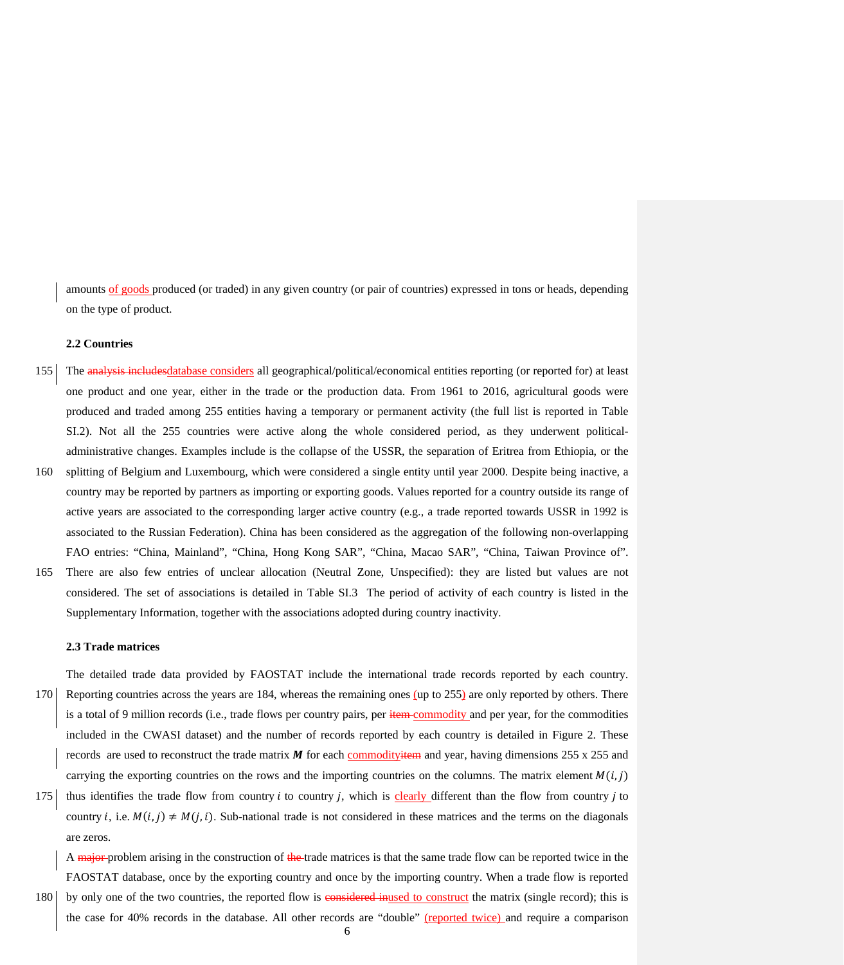amounts of goods produced (or traded) in any given country (or pair of countries) expressed in tons or heads, depending on the type of product.

#### **2.2 Countries**

- 155 The analysis includesdatabase considers all geographical/political/economical entities reporting (or reported for) at least one product and one year, either in the trade or the production data. From 1961 to 2016, agricultural goods were produced and traded among 255 entities having a temporary or permanent activity (the full list is reported in Table SI.2). Not all the 255 countries were active along the whole considered period, as they underwent politicaladministrative changes. Examples include is the collapse of the USSR, the separation of Eritrea from Ethiopia, or the
- 160 splitting of Belgium and Luxembourg, which were considered a single entity until year 2000. Despite being inactive, a country may be reported by partners as importing or exporting goods. Values reported for a country outside its range of active years are associated to the corresponding larger active country (e.g., a trade reported towards USSR in 1992 is associated to the Russian Federation). China has been considered as the aggregation of the following non-overlapping FAO entries: "China, Mainland", "China, Hong Kong SAR", "China, Macao SAR", "China, Taiwan Province of". 165 There are also few entries of unclear allocation (Neutral Zone, Unspecified): they are listed but values are not
- considered. The set of associations is detailed in Table SI.3 The period of activity of each country is listed in the Supplementary Information, together with the associations adopted during country inactivity.

## **2.3 Trade matrices**

The detailed trade data provided by FAOSTAT include the international trade records reported by each country. 170 Reporting countries across the years are 184, whereas the remaining ones (up to 255) are only reported by others. There is a total of 9 million records (i.e., trade flows per country pairs, per item commodity and per year, for the commodities included in the CWASI dataset) and the number of records reported by each country is detailed in Figure 2. These records are used to reconstruct the trade matrix  $\vec{M}$  for each commodity them and year, having dimensions 255 x 255 and carrying the exporting countries on the rows and the importing countries on the columns. The matrix element  $M(i, j)$ 

175 thus identifies the trade flow from country *i* to country *j*, which is clearly different than the flow from country *j* to country *i*, i.e.  $M(i, j) \neq M(j, i)$ . Sub-national trade is not considered in these matrices and the terms on the diagonals are zeros.

A major problem arising in the construction of the trade matrices is that the same trade flow can be reported twice in the FAOSTAT database, once by the exporting country and once by the importing country. When a trade flow is reported

180 by only one of the two countries, the reported flow is considered inused to construct the matrix (single record); this is the case for 40% records in the database. All other records are "double" (reported twice) and require a comparison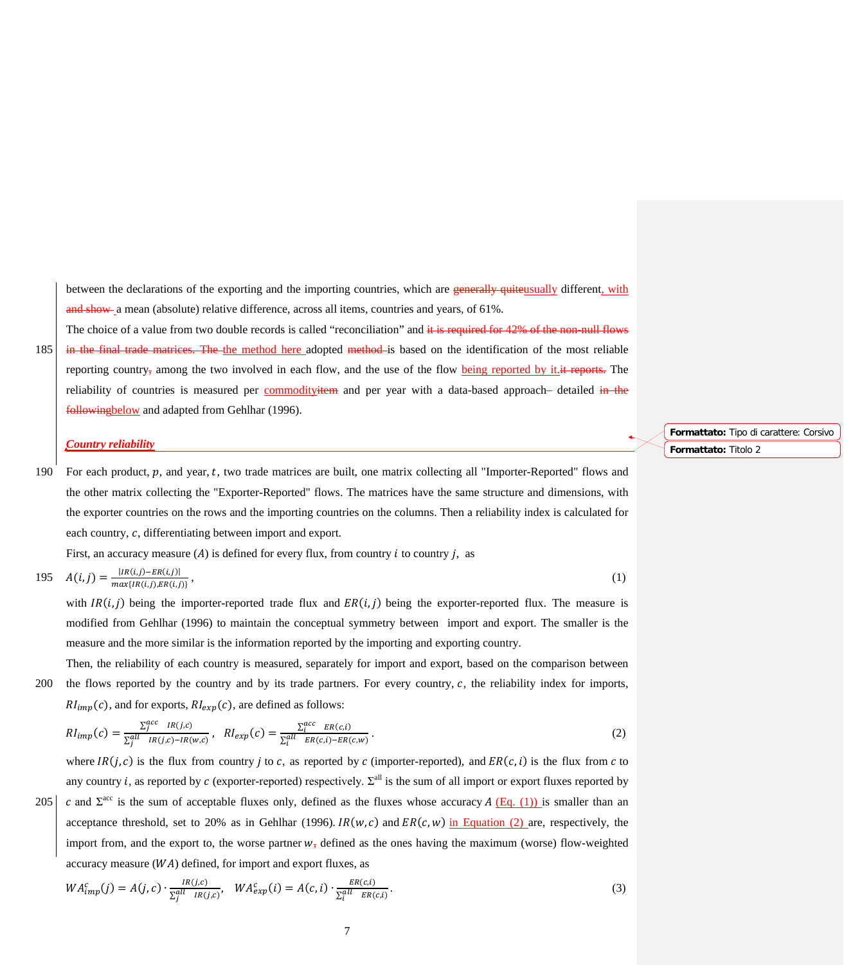between the declarations of the exporting and the importing countries, which are generally quiteusually different, with and show a mean (absolute) relative difference, across all items, countries and years, of 61%.

The choice of a value from two double records is called "reconciliation" and it is required for 42% of the non-null flows 185 in the final trade matrices. The the method here adopted method is based on the identification of the most reliable reporting country, among the two involved in each flow, and the use of the flow being reported by it. it reports. The reliability of countries is measured per commodityitem and per year with a data-based approach- detailed in the followingbelow and adapted from Gehlhar (1996).

## *Country reliability*

190 For each product,  $p$ , and year,  $t$ , two trade matrices are built, one matrix collecting all "Importer-Reported" flows and the other matrix collecting the "Exporter-Reported" flows. The matrices have the same structure and dimensions, with the exporter countries on the rows and the importing countries on the columns. Then a reliability index is calculated for each country,  $c$ , differentiating between import and export.

First, an accuracy measure (A) is defined for every flux, from country i to country i, as

195 
$$
A(i,j) = \frac{|IR(i,j)-ER(i,j)|}{max\{IR(i,j),ER(i,j)\}},
$$
 (1)

with  $IR(i, j)$  being the importer-reported trade flux and  $ER(i, j)$  being the exporter-reported flux. The measure is modified from Gehlhar (1996) to maintain the conceptual symmetry between import and export. The smaller is the measure and the more similar is the information reported by the importing and exporting country.

Then, the reliability of each country is measured, separately for import and export, based on the comparison between  $200$  the flows reported by the country and by its trade partners. For every country,  $c$ , the reliability index for imports,  $RI_{imp}(c)$ , and for exports,  $RI_{exp}(c)$ , are defined as follows:

$$
RI_{imp}(c) = \frac{\sum_{j}^{acc} IR(j,c)}{\sum_{j}^{all} IR(j,c)-IR(w,c)}, \quad RI_{exp}(c) = \frac{\sum_{i}^{acc} ER(c,i)}{\sum_{i}^{all} ER(c,i)-ER(c,w)}.
$$
 (2)

where  $IR(j, c)$  is the flux from country *j* to *c*, as reported by *c* (importer-reported), and  $ER(c, i)$  is the flux from *c* to any country *i*, as reported by *c* (exporter-reported) respectively.  $\Sigma^{all}$  is the sum of all import or export fluxes reported by

205 | c and  $\Sigma^{acc}$  is the sum of acceptable fluxes only, defined as the fluxes whose accuracy A (Eq. (1)) is smaller than an acceptance threshold, set to 20% as in Gehlhar (1996).  $IR(w, c)$  and  $ER(c, w)$  in Equation (2) are, respectively, the import from, and the export to, the worse partner  $w_7$  defined as the ones having the maximum (worse) flow-weighted accuracy measure  $(WA)$  defined, for import and export fluxes, as

$$
WA_{imp}^{c}(j) = A(j,c) \cdot \frac{IR(j,c)}{\Sigma_{j}^{all} IR(j,c)}, \quad WA_{exp}^{c}(i) = A(c,i) \cdot \frac{ER(c,i)}{\Sigma_{i}^{all} ER(c,i)}.
$$
\n(3)

7

**Formattato:** Tipo di carattere: Corsivo **Formattato:** Titolo 2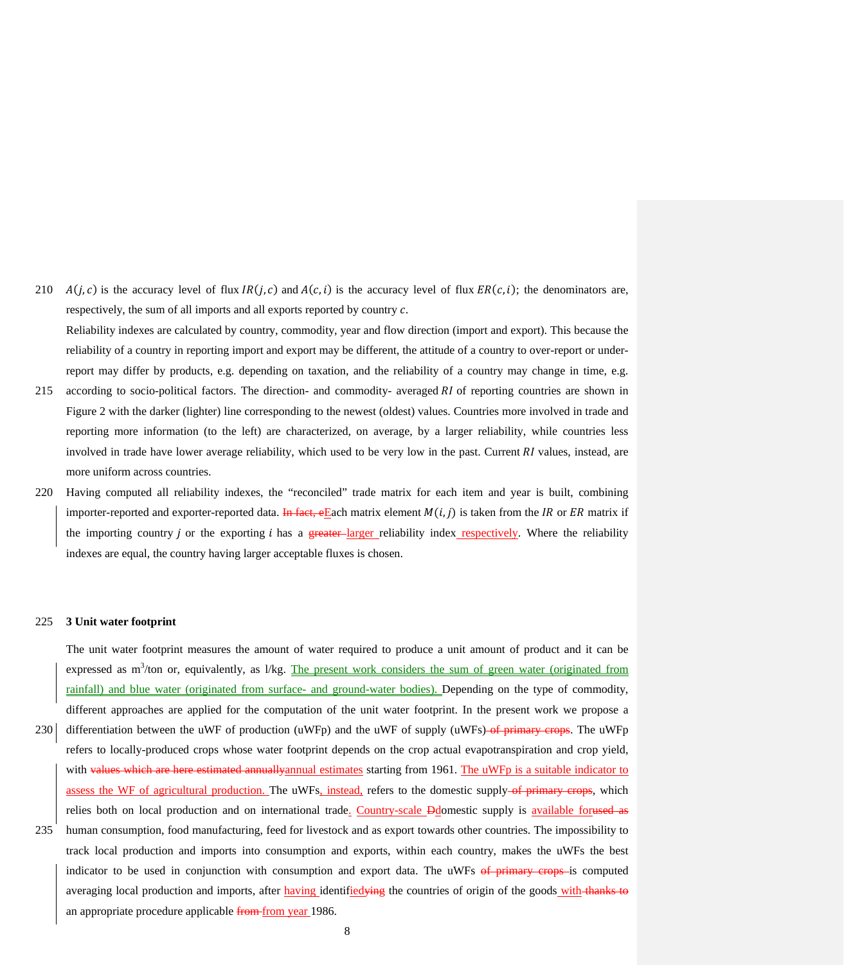210  $A(j, c)$  is the accuracy level of flux  $IR(j, c)$  and  $A(c, i)$  is the accuracy level of flux  $ER(c, i)$ ; the denominators are, respectively, the sum of all imports and all exports reported by country  $c$ .

Reliability indexes are calculated by country, commodity, year and flow direction (import and export). This because the reliability of a country in reporting import and export may be different, the attitude of a country to over-report or underreport may differ by products, e.g. depending on taxation, and the reliability of a country may change in time, e.g.

- 215 according to socio-political factors. The direction- and commodity- averaged  $RI$  of reporting countries are shown in Figure 2 with the darker (lighter) line corresponding to the newest (oldest) values. Countries more involved in trade and reporting more information (to the left) are characterized, on average, by a larger reliability, while countries less involved in trade have lower average reliability, which used to be very low in the past. Current  $RI$  values, instead, are more uniform across countries.
- 220 Having computed all reliability indexes, the "reconciled" trade matrix for each item and year is built, combining importer-reported and exporter-reported data. In fact, eEach matrix element  $M(i, j)$  is taken from the IR or ER matrix if the importing country *i* or the exporting *i* has a **greater**-larger reliability index respectively. Where the reliability indexes are equal, the country having larger acceptable fluxes is chosen.

#### 225 **3 Unit water footprint**

The unit water footprint measures the amount of water required to produce a unit amount of product and it can be expressed as  $m<sup>3</sup>/ton$  or, equivalently, as  $1/\text{kg}$ . The present work considers the sum of green water (originated from rainfall) and blue water (originated from surface- and ground-water bodies). Depending on the type of commodity, different approaches are applied for the computation of the unit water footprint. In the present work we propose a 230 differentiation between the uWF of production (uWFp) and the uWF of supply (uWFs) of primary crops. The uWFp refers to locally-produced crops whose water footprint depends on the crop actual evapotranspiration and crop yield, with values which are here estimated annuallyannual estimates starting from 1961. The uWFp is a suitable indicator to assess the WF of agricultural production. The uWFs, instead, refers to the domestic supply-of primary crops, which relies both on local production and on international trade. Country-scale Ddomestic supply is available forused as 235 human consumption, food manufacturing, feed for livestock and as export towards other countries. The impossibility to track local production and imports into consumption and exports, within each country, makes the uWFs the best indicator to be used in conjunction with consumption and export data. The uWFs of primary crops is computed averaging local production and imports, after having identified *ying* the countries of origin of the goods with thanks to an appropriate procedure applicable from from year 1986.

8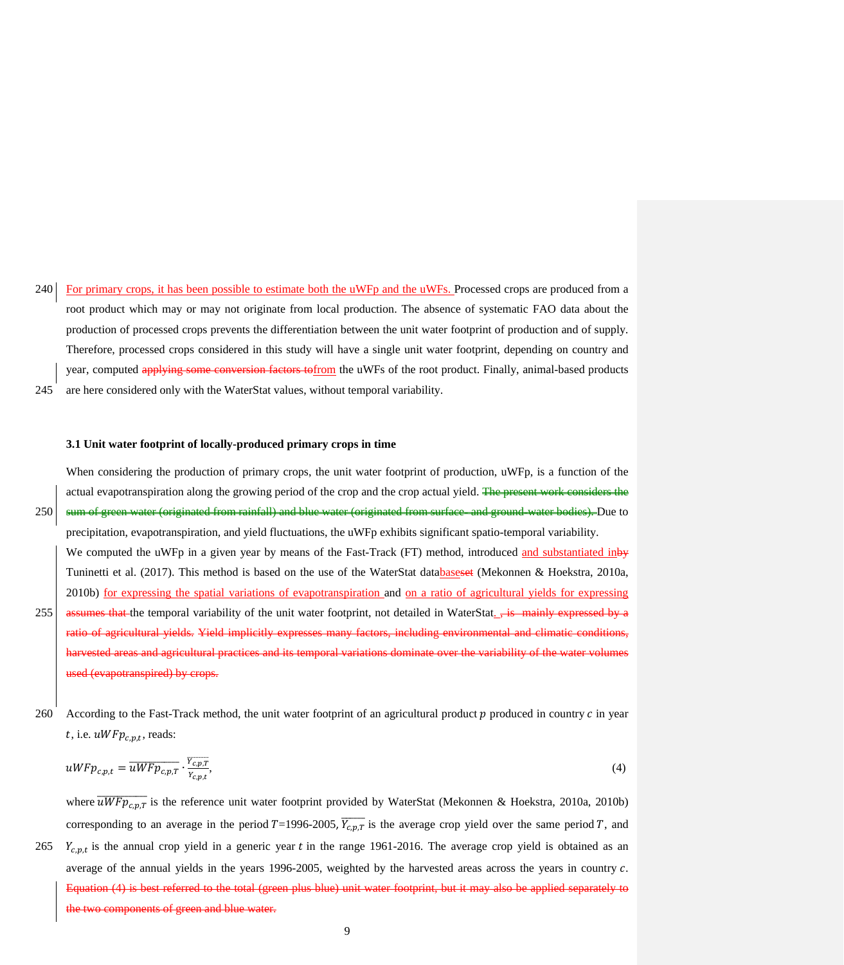240 For primary crops, it has been possible to estimate both the uWFp and the uWFs. Processed crops are produced from a root product which may or may not originate from local production. The absence of systematic FAO data about the production of processed crops prevents the differentiation between the unit water footprint of production and of supply. Therefore, processed crops considered in this study will have a single unit water footprint, depending on country and year, computed applying some conversion factors to from the uWFs of the root product. Finally, animal-based products 245 are here considered only with the WaterStat values, without temporal variability.

#### **3.1 Unit water footprint of locally-produced primary crops in time**

When considering the production of primary crops, the unit water footprint of production, uWFp, is a function of the actual evapotranspiration along the growing period of the crop and the crop actual yield. The present work considers the 250 sum of green water (originated from rainfall) and blue water (originated from surface- and ground-water bodies). Due to

- precipitation, evapotranspiration, and yield fluctuations, the uWFp exhibits significant spatio-temporal variability. We computed the uWFp in a given year by means of the Fast-Track (FT) method, introduced and substantiated inby Tuninetti et al. (2017). This method is based on the use of the WaterStat databaseset (Mekonnen & Hoekstra, 2010a, 2010b) for expressing the spatial variations of evapotranspiration and on a ratio of agricultural yields for expressing 255 **assumes that the temporal variability of the unit water footprint, not detailed in WaterStat.**  $\frac{1}{2}$  is mainly expressed by a ratio of agricultural yields. Yield implicitly expresses many factors, including environmental and climatic conditions, d areas and agricultural practices and its temporal variations dominate over the variability of the water volun wapotranspired) by crop
- 260 According to the Fast-Track method, the unit water footprint of an agricultural product  $p$  produced in country  $c$  in year t, i.e.  $uWFp_{c.p.t}$ , reads:

$$
uW F p_{c,p,t} = \overline{uW F p_{c,p,T}} \cdot \frac{v_{c,p,T}}{v_{c,p,t}},\tag{4}
$$

where  $\overline{uW F p_{c,p,T}}$  is the reference unit water footprint provided by WaterStat (Mekonnen & Hoekstra, 2010a, 2010b) corresponding to an average in the period  $T=1996-2005$ ,  $\overline{Y_{c,p,T}}$  is the average crop yield over the same period T, and 265  $Y_{c, nt}$  is the annual crop yield in a generic year t in the range 1961-2016. The average crop yield is obtained as an average of the annual yields in the years 1996-2005, weighted by the harvested areas across the years in country  $c$ . Equation (4) is best referred to the total (green plus blue) unit water footprint, but it may also be applied separately to the two components of green and blue water.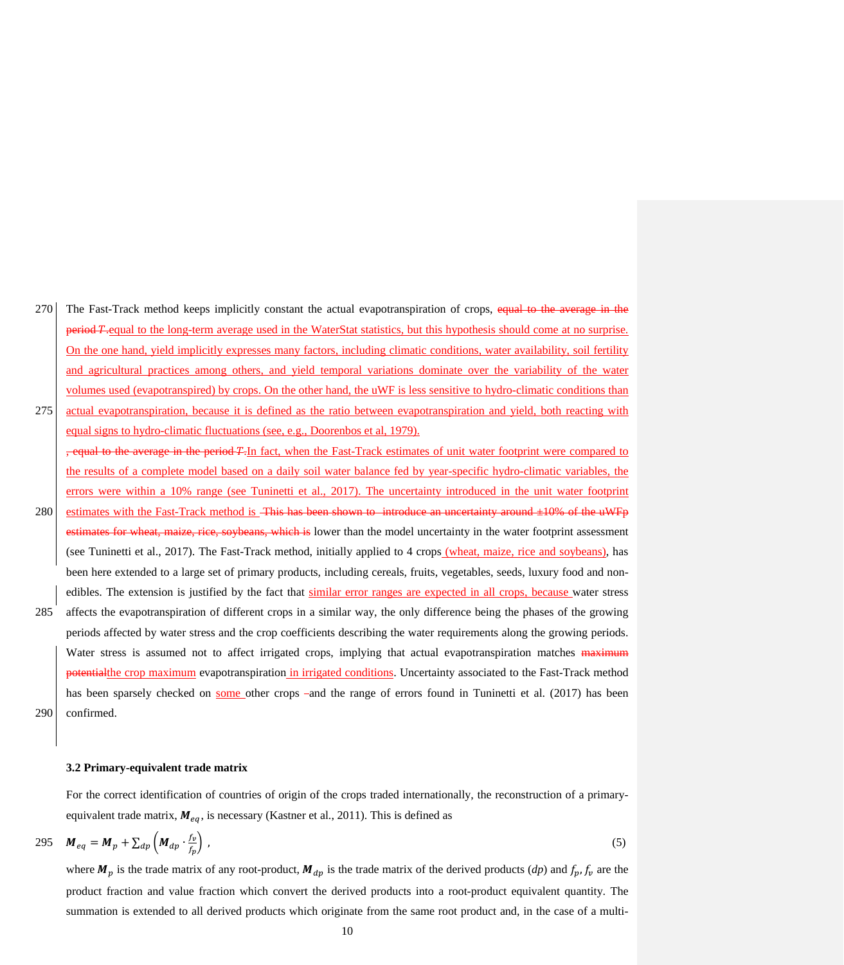- 270 The Fast-Track method keeps implicitly constant the actual evapotranspiration of crops, equal to the average in **period T**-equal to the long-term average used in the WaterStat statistics, but this hypothesis should come at no surprise. On the one hand, yield implicitly expresses many factors, including climatic conditions, water availability, soil fertility and agricultural practices among others, and yield temporal variations dominate over the variability of the water volumes used (evapotranspired) by crops. On the other hand, the uWF is less sensitive to hydro-climatic conditions than 275 actual evapotranspiration, because it is defined as the ratio between evapotranspiration and yield, both reacting with
- equal signs to hydro-climatic fluctuations (see, e.g., Doorenbos et al, 1979). average in the period *T*. In fact, when the Fast-Track estimates of unit water footprint were compared to
- the results of a complete model based on a daily soil water balance fed by year-specific hydro-climatic variables, the errors were within a 10% range (see Tuninetti et al., 2017). The uncertainty introduced in the unit water footprint 280 estimates with the Fast-Track method is <del>This has been shown to introduce an uncertainty around ±10% of the uWFp</del>
- nates for wheat, maize, rice, soybeans, which is lower than the model uncertainty in the water footprint assessment (see Tuninetti et al., 2017). The Fast-Track method, initially applied to 4 crops (wheat, maize, rice and soybeans), has been here extended to a large set of primary products, including cereals, fruits, vegetables, seeds, luxury food and nonedibles. The extension is justified by the fact that similar error ranges are expected in all crops, because water stress 285 affects the evapotranspiration of different crops in a similar way, the only difference being the phases of the growing periods affected by water stress and the crop coefficients describing the water requirements along the growing periods. Water stress is assumed not to affect irrigated crops, implying that actual evapotranspiration matches maximum potentialthe crop maximum evapotranspiration in irrigated conditions. Uncertainty associated to the Fast-Track method has been sparsely checked on some other crops - and the range of errors found in Tuninetti et al. (2017) has been
- 290 confirmed.

#### **3.2 Primary-equivalent trade matrix**

For the correct identification of countries of origin of the crops traded internationally, the reconstruction of a primaryequivalent trade matrix,  $M_{eq}$ , is necessary (Kastner et al., 2011). This is defined as

$$
295 \quad M_{eq} = M_p + \sum_{dp} \left( M_{dp} \cdot \frac{f_p}{f_p} \right), \tag{5}
$$

where  $M_p$  is the trade matrix of any root-product,  $M_{dp}$  is the trade matrix of the derived products (*dp*) and  $f_p$ ,  $f_v$  are the product fraction and value fraction which convert the derived products into a root-product equivalent quantity. The summation is extended to all derived products which originate from the same root product and, in the case of a multi-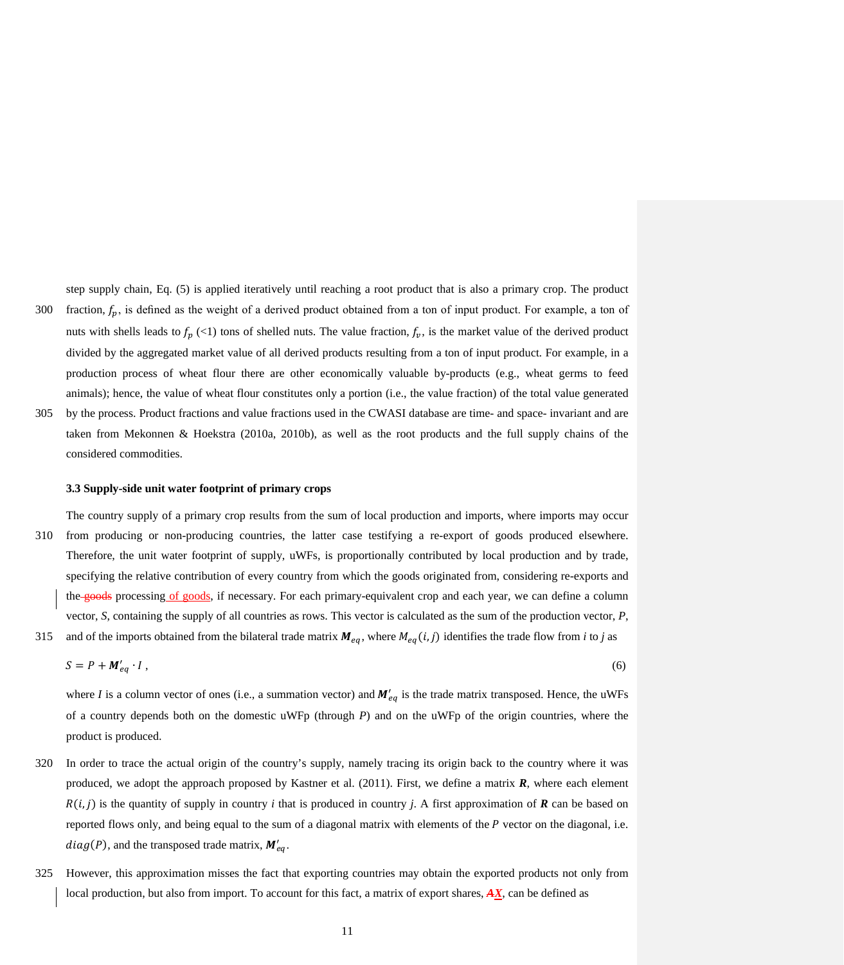step supply chain, Eq. (5) is applied iteratively until reaching a root product that is also a primary crop. The product 300 fraction,  $f_p$ , is defined as the weight of a derived product obtained from a ton of input product. For example, a ton of nuts with shells leads to  $f_p$  (<1) tons of shelled nuts. The value fraction,  $f_p$ , is the market value of the derived product divided by the aggregated market value of all derived products resulting from a ton of input product. For example, in a production process of wheat flour there are other economically valuable by-products (e.g., wheat germs to feed animals); hence, the value of wheat flour constitutes only a portion (i.e., the value fraction) of the total value generated 305 by the process. Product fractions and value fractions used in the CWASI database are time- and space- invariant and are taken from Mekonnen & Hoekstra (2010a, 2010b), as well as the root products and the full supply chains of the

#### **3.3 Supply-side unit water footprint of primary crops**

considered commodities.

The country supply of a primary crop results from the sum of local production and imports, where imports may occur 310 from producing or non-producing countries, the latter case testifying a re-export of goods produced elsewhere. Therefore, the unit water footprint of supply, uWFs, is proportionally contributed by local production and by trade, specifying the relative contribution of every country from which the goods originated from, considering re-exports and the goods processing of goods, if necessary. For each primary-equivalent crop and each year, we can define a column vector, *S*, containing the supply of all countries as rows. This vector is calculated as the sum of the production vector, *P*,

315 and of the imports obtained from the bilateral trade matrix  $M_{eq}$ , where  $M_{eq}(i,j)$  identifies the trade flow from *i* to *j* as

$$
S = P + M'_{eq} \cdot I \tag{6}
$$

where *I* is a column vector of ones (i.e., a summation vector) and  $M'_{eq}$  is the trade matrix transposed. Hence, the uWFs of a country depends both on the domestic uWFp (through *P*) and on the uWFp of the origin countries, where the product is produced.

- 320 In order to trace the actual origin of the country's supply, namely tracing its origin back to the country where it was produced, we adopt the approach proposed by Kastner et al. (2011). First, we define a matrix *R*, where each element  $R(i, j)$  is the quantity of supply in country *i* that is produced in country *j*. A first approximation of *R* can be based on reported flows only, and being equal to the sum of a diagonal matrix with elements of the  $P$  vector on the diagonal, i.e.  $diag(P)$ , and the transposed trade matrix,  $M'_{eq}$ .
- 325 However, this approximation misses the fact that exporting countries may obtain the exported products not only from local production, but also from import. To account for this fact, a matrix of export shares, *AX*, can be defined as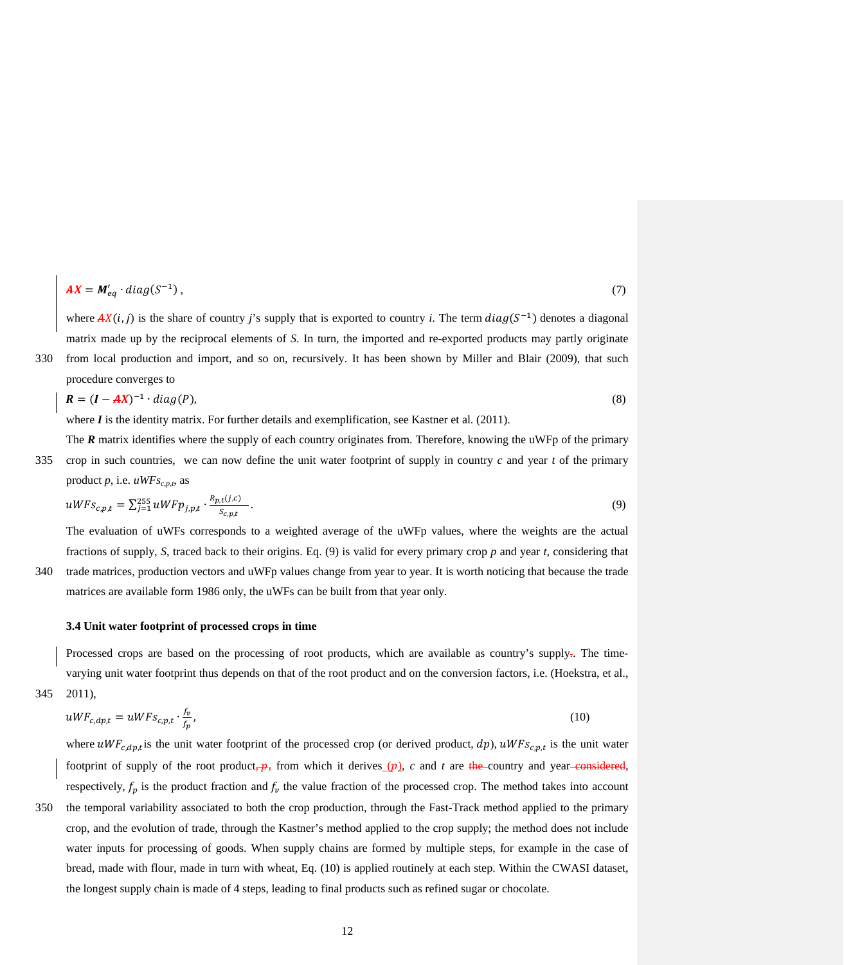$$
AX = M'_{eq} \cdot diag(S^{-1}), \qquad (7)
$$

where  $AX(i, j)$  is the share of country *j*'s supply that is exported to country *i*. The term  $diag(S^{-1})$  denotes a diagonal matrix made up by the reciprocal elements of *S*. In turn, the imported and re-exported products may partly originate

330 from local production and import, and so on, recursively. It has been shown by Miller and Blair (2009), that such procedure converges to

$$
R = (I - AX)^{-1} \cdot diag(P), \tag{8}
$$

where  $\boldsymbol{I}$  is the identity matrix. For further details and exemplification, see Kastner et al. (2011).

The **R** matrix identifies where the supply of each country originates from. Therefore, knowing the uWFp of the primary

335 crop in such countries, we can now define the unit water footprint of supply in country *c* and year *t* of the primary product  $p$ , i.e.  $uWFs_{c,p,t}$ , as

$$
uWFS_{c,p,t} = \sum_{j=1}^{255} uWFP_{j,p,t} \cdot \frac{R_{p,t}(j,c)}{S_{c,p,t}}.
$$
\n(9)

The evaluation of uWFs corresponds to a weighted average of the uWFp values, where the weights are the actual fractions of supply, *S*, traced back to their origins. Eq. (9) is valid for every primary crop *p* and year *t*, considering that 340 trade matrices, production vectors and uWFp values change from year to year. It is worth noticing that because the trade

matrices are available form 1986 only, the uWFs can be built from that year only.

# **3.4 Unit water footprint of processed crops in time**

Processed crops are based on the processing of root products, which are available as country's supply-. The timevarying unit water footprint thus depends on that of the root product and on the conversion factors, i.e. (Hoekstra, et al., 345 2011),

$$
uWF_{c,dp,t} = uWF_{c,p,t} \cdot \frac{f_p}{f_p},\tag{10}
$$

where  $uWF_{c,dp,t}$  is the unit water footprint of the processed crop (or derived product,  $dp$ ),  $uWF_{S_{c,p,t}}$  is the unit water footprint of supply of the root product,  $\frac{1}{2}$ , from which it derives (p), *c* and *t* are the country and year considered, respectively,  $f_p$  is the product fraction and  $f_p$  the value fraction of the processed crop. The method takes into account

350 the temporal variability associated to both the crop production, through the Fast-Track method applied to the primary crop, and the evolution of trade, through the Kastner's method applied to the crop supply; the method does not include water inputs for processing of goods. When supply chains are formed by multiple steps, for example in the case of bread, made with flour, made in turn with wheat, Eq. (10) is applied routinely at each step. Within the CWASI dataset, the longest supply chain is made of 4 steps, leading to final products such as refined sugar or chocolate.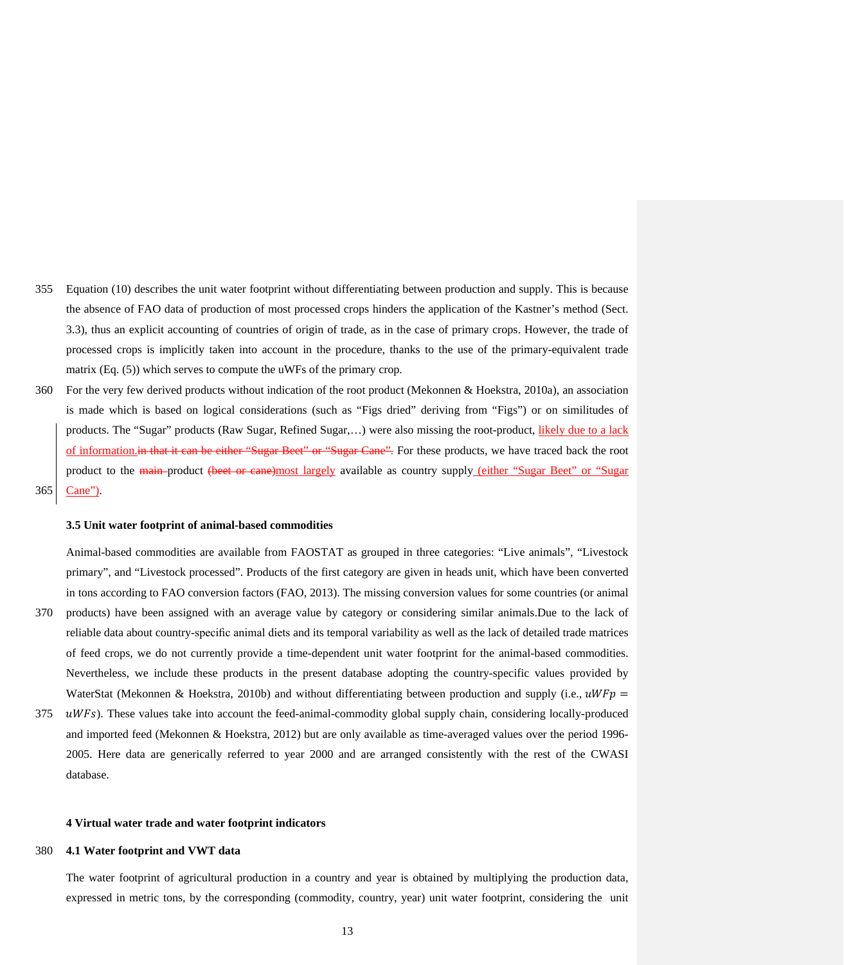- 355 Equation (10) describes the unit water footprint without differentiating between production and supply. This is because the absence of FAO data of production of most processed crops hinders the application of the Kastner's method (Sect. 3.3), thus an explicit accounting of countries of origin of trade, as in the case of primary crops. However, the trade of processed crops is implicitly taken into account in the procedure, thanks to the use of the primary-equivalent trade matrix (Eq. (5)) which serves to compute the uWFs of the primary crop.
- 360 For the very few derived products without indication of the root product (Mekonnen & Hoekstra, 2010a), an association is made which is based on logical considerations (such as "Figs dried" deriving from "Figs") or on similitudes of products. The "Sugar" products (Raw Sugar, Refined Sugar,...) were also missing the root-product, likely due to a lack of information.in that it can be either "Sugar Beet" or "Sugar Cane". For these products, we have traced back the root product to the main-product (beet or cane)most largely available as country supply (either "Sugar Beet" or "Sugar 365 Cane").

## **3.5 Unit water footprint of animal-based commodities**

Animal-based commodities are available from FAOSTAT as grouped in three categories: "Live animals", "Livestock primary", and "Livestock processed". Products of the first category are given in heads unit, which have been converted in tons according to FAO conversion factors (FAO, 2013). The missing conversion values for some countries (or animal

- 370 products) have been assigned with an average value by category or considering similar animals.Due to the lack of reliable data about country-specific animal diets and its temporal variability as well as the lack of detailed trade matrices of feed crops, we do not currently provide a time-dependent unit water footprint for the animal-based commodities. Nevertheless, we include these products in the present database adopting the country-specific values provided by WaterStat (Mekonnen & Hoekstra, 2010b) and without differentiating between production and supply (i.e.,  $uWFP =$
- $375$   $\mu WFs$ ). These values take into account the feed-animal-commodity global supply chain, considering locally-produced and imported feed (Mekonnen & Hoekstra, 2012) but are only available as time-averaged values over the period 1996- 2005. Here data are generically referred to year 2000 and are arranged consistently with the rest of the CWASI database.

#### **4 Virtual water trade and water footprint indicators**

## 380 **4.1 Water footprint and VWT data**

The water footprint of agricultural production in a country and year is obtained by multiplying the production data, expressed in metric tons, by the corresponding (commodity, country, year) unit water footprint, considering the unit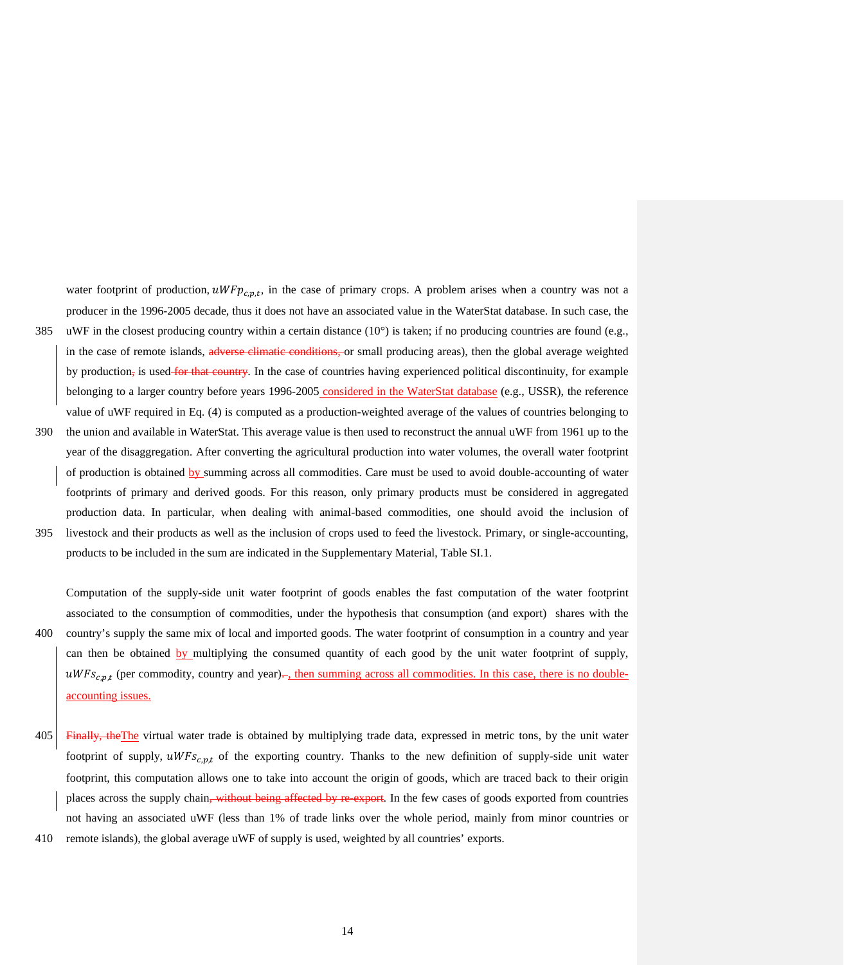water footprint of production,  $uW F p_{c,p,t}$ , in the case of primary crops. A problem arises when a country was not a producer in the 1996-2005 decade, thus it does not have an associated value in the WaterStat database. In such case, the 385 uWF in the closest producing country within a certain distance (10°) is taken; if no producing countries are found (e.g., in the case of remote islands, adverse climatic conditions, or small producing areas), then the global average weighted by production, is used for that country. In the case of countries having experienced political discontinuity, for example belonging to a larger country before years 1996-2005 considered in the WaterStat database (e.g., USSR), the reference

value of uWF required in Eq. (4) is computed as a production-weighted average of the values of countries belonging to

- 390 the union and available in WaterStat. This average value is then used to reconstruct the annual uWF from 1961 up to the year of the disaggregation. After converting the agricultural production into water volumes, the overall water footprint of production is obtained by summing across all commodities. Care must be used to avoid double-accounting of water footprints of primary and derived goods. For this reason, only primary products must be considered in aggregated production data. In particular, when dealing with animal-based commodities, one should avoid the inclusion of
- 395 livestock and their products as well as the inclusion of crops used to feed the livestock. Primary, or single-accounting, products to be included in the sum are indicated in the Supplementary Material, Table SI.1.

Computation of the supply-side unit water footprint of goods enables the fast computation of the water footprint associated to the consumption of commodities, under the hypothesis that consumption (and export) shares with the 400 country's supply the same mix of local and imported goods. The water footprint of consumption in a country and year can then be obtained by multiplying the consumed quantity of each good by the unit water footprint of supply,  $uWFS_{c,nt}$  (per commodity, country and year). then summing across all commodities. In this case, there is no doubleaccounting issues.

- 405 Finally, theThe virtual water trade is obtained by multiplying trade data, expressed in metric tons, by the unit water footprint of supply,  $uWFS_{c,p,t}$  of the exporting country. Thanks to the new definition of supply-side unit water footprint, this computation allows one to take into account the origin of goods, which are traced back to their origin places across the supply chain<del>, without being affected by re-export</del>. In the few cases of goods exported from countries not having an associated uWF (less than 1% of trade links over the whole period, mainly from minor countries or 410 remote islands), the global average uWF of supply is used, weighted by all countries' exports.
-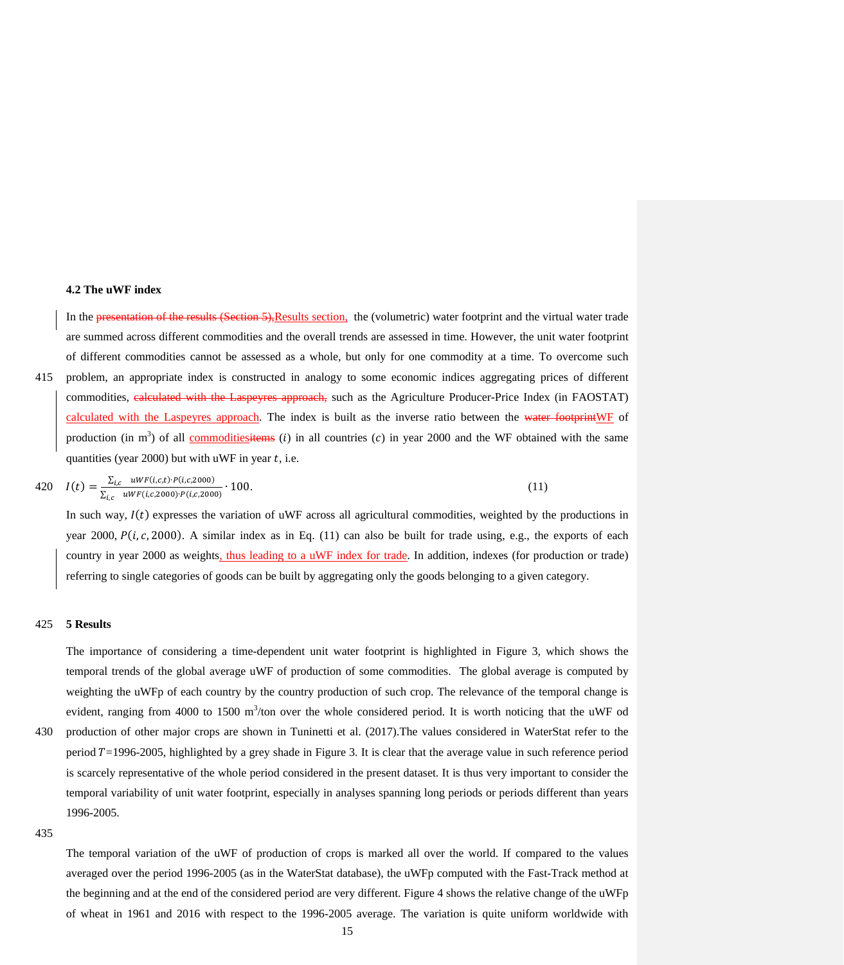## **4.2 The uWF index**

In the presentation of the results (Section 5), Results section, the (volumetric) water footprint and the virtual water trade are summed across different commodities and the overall trends are assessed in time. However, the unit water footprint of different commodities cannot be assessed as a whole, but only for one commodity at a time. To overcome such 415 problem, an appropriate index is constructed in analogy to some economic indices aggregating prices of different commodities, calculated with the Laspeyres approach, such as the Agriculture Producer-Price Index (in FAOSTAT) calculated with the Laspeyres approach. The index is built as the inverse ratio between the water footprintWF of production (in m<sup>3</sup>) of all **commoditiesitems** (*i*) in all countries (*c*) in year 2000 and the WF obtained with the same quantities (year 2000) but with uWF in year  $t$ , i.e.

$$
420 \quad I(t) = \frac{\sum_{i,c} \; uWF(i,c,t) \cdot P(i,c,2000)}{\sum_{i,c} \; uWF(i,c,2000) \cdot P(i,c,2000)} \cdot 100. \tag{11}
$$

In such way,  $I(t)$  expresses the variation of uWF across all agricultural commodities, weighted by the productions in year 2000,  $P(i, c, 2000)$ . A similar index as in Eq. (11) can also be built for trade using, e.g., the exports of each country in year 2000 as weights, thus leading to a uWF index for trade. In addition, indexes (for production or trade) referring to single categories of goods can be built by aggregating only the goods belonging to a given category.

## 425 **5 Results**

The importance of considering a time-dependent unit water footprint is highlighted in Figure 3, which shows the temporal trends of the global average uWF of production of some commodities. The global average is computed by weighting the uWFp of each country by the country production of such crop. The relevance of the temporal change is evident, ranging from 4000 to 1500 m<sup>3</sup>/ton over the whole considered period. It is worth noticing that the uWF od 430 production of other major crops are shown in Tuninetti et al. (2017).The values considered in WaterStat refer to the period  $T=1996-2005$ , highlighted by a grey shade in Figure 3. It is clear that the average value in such reference period is scarcely representative of the whole period considered in the present dataset. It is thus very important to consider the temporal variability of unit water footprint, especially in analyses spanning long periods or periods different than years

435

1996-2005.

The temporal variation of the uWF of production of crops is marked all over the world. If compared to the values averaged over the period 1996-2005 (as in the WaterStat database), the uWFp computed with the Fast-Track method at the beginning and at the end of the considered period are very different. Figure 4 shows the relative change of the uWFp of wheat in 1961 and 2016 with respect to the 1996-2005 average. The variation is quite uniform worldwide with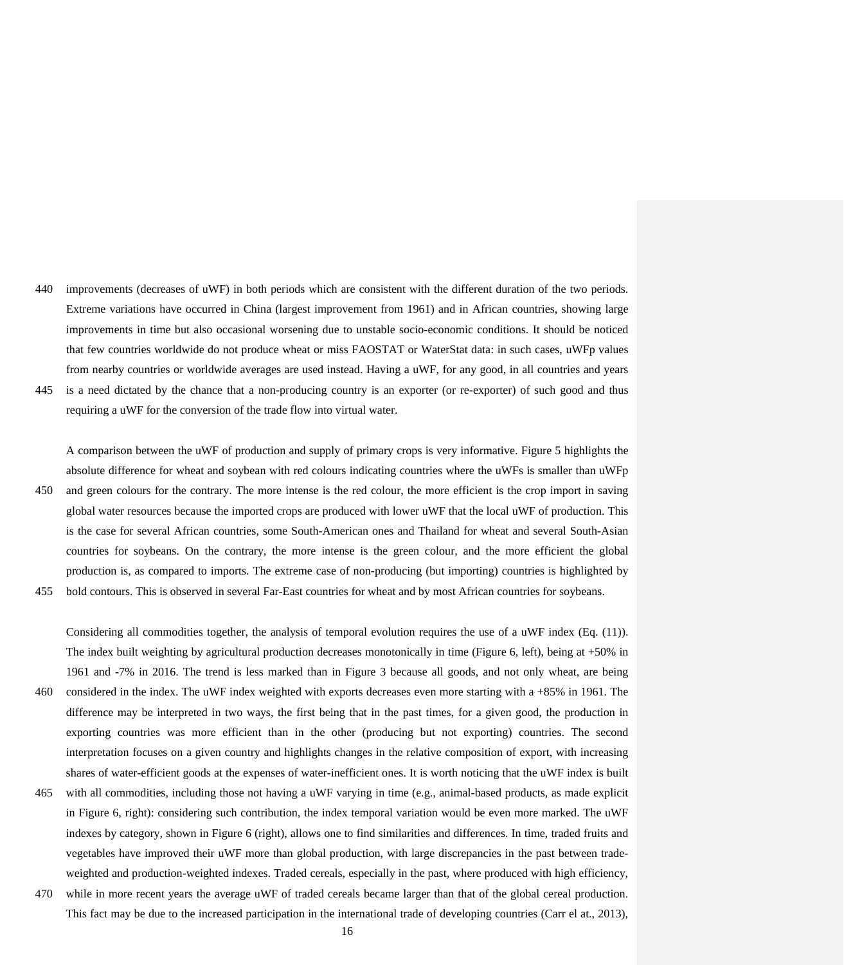440 improvements (decreases of uWF) in both periods which are consistent with the different duration of the two periods. Extreme variations have occurred in China (largest improvement from 1961) and in African countries, showing large improvements in time but also occasional worsening due to unstable socio-economic conditions. It should be noticed that few countries worldwide do not produce wheat or miss FAOSTAT or WaterStat data: in such cases, uWFp values from nearby countries or worldwide averages are used instead. Having a uWF, for any good, in all countries and years 445 is a need dictated by the chance that a non-producing country is an exporter (or re-exporter) of such good and thus

requiring a uWF for the conversion of the trade flow into virtual water.

A comparison between the uWF of production and supply of primary crops is very informative. Figure 5 highlights the absolute difference for wheat and soybean with red colours indicating countries where the uWFs is smaller than uWFp 450 and green colours for the contrary. The more intense is the red colour, the more efficient is the crop import in saving

global water resources because the imported crops are produced with lower uWF that the local uWF of production. This is the case for several African countries, some South-American ones and Thailand for wheat and several South-Asian countries for soybeans. On the contrary, the more intense is the green colour, and the more efficient the global production is, as compared to imports. The extreme case of non-producing (but importing) countries is highlighted by 455 bold contours. This is observed in several Far-East countries for wheat and by most African countries for soybeans.

Considering all commodities together, the analysis of temporal evolution requires the use of a uWF index (Eq. (11)). The index built weighting by agricultural production decreases monotonically in time (Figure 6, left), being at +50% in 1961 and -7% in 2016. The trend is less marked than in Figure 3 because all goods, and not only wheat, are being 460 considered in the index. The uWF index weighted with exports decreases even more starting with a +85% in 1961. The difference may be interpreted in two ways, the first being that in the past times, for a given good, the production in exporting countries was more efficient than in the other (producing but not exporting) countries. The second interpretation focuses on a given country and highlights changes in the relative composition of export, with increasing shares of water-efficient goods at the expenses of water-inefficient ones. It is worth noticing that the uWF index is built

- 465 with all commodities, including those not having a uWF varying in time (e.g., animal-based products, as made explicit in Figure 6, right): considering such contribution, the index temporal variation would be even more marked. The uWF indexes by category, shown in Figure 6 (right), allows one to find similarities and differences. In time, traded fruits and vegetables have improved their uWF more than global production, with large discrepancies in the past between tradeweighted and production-weighted indexes. Traded cereals, especially in the past, where produced with high efficiency,
- 470 while in more recent years the average uWF of traded cereals became larger than that of the global cereal production. This fact may be due to the increased participation in the international trade of developing countries (Carr el at., 2013),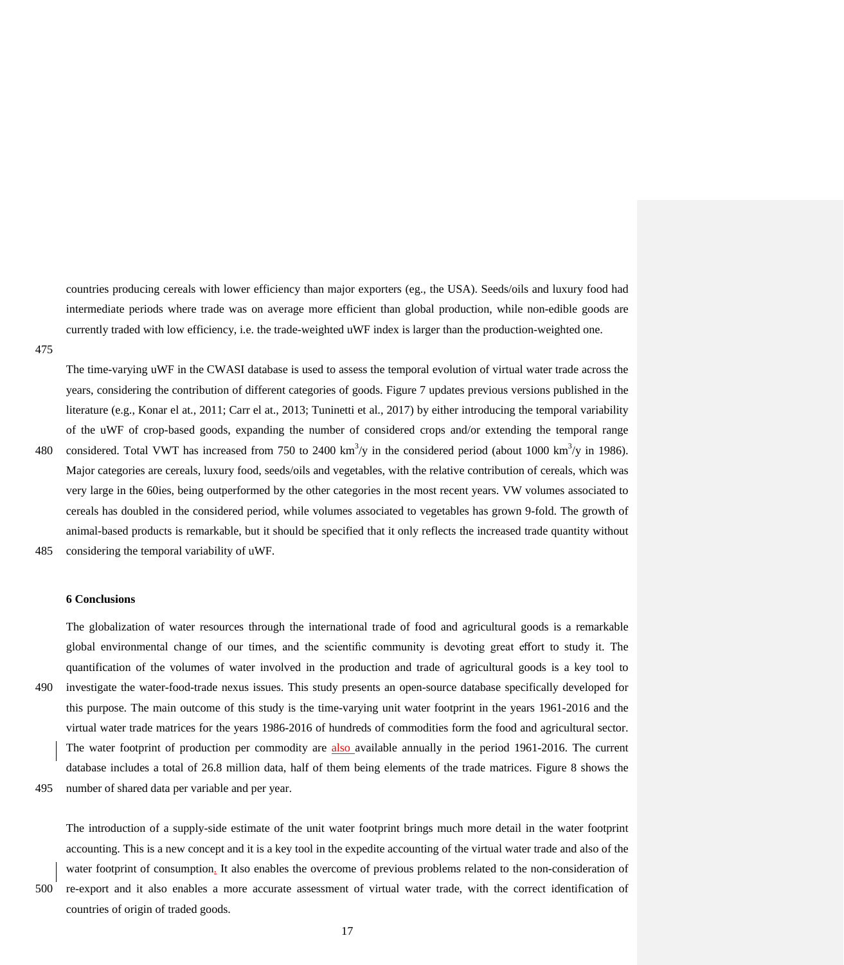countries producing cereals with lower efficiency than major exporters (eg., the USA). Seeds/oils and luxury food had intermediate periods where trade was on average more efficient than global production, while non-edible goods are currently traded with low efficiency, i.e. the trade-weighted uWF index is larger than the production-weighted one.

475

The time-varying uWF in the CWASI database is used to assess the temporal evolution of virtual water trade across the years, considering the contribution of different categories of goods. Figure 7 updates previous versions published in the literature (e.g., Konar el at., 2011; Carr el at., 2013; Tuninetti et al., 2017) by either introducing the temporal variability of the uWF of crop-based goods, expanding the number of considered crops and/or extending the temporal range 480 considered. Total VWT has increased from 750 to 2400 km<sup>3</sup>/y in the considered period (about 1000 km<sup>3</sup>/y in 1986). Major categories are cereals, luxury food, seeds/oils and vegetables, with the relative contribution of cereals, which was very large in the 60ies, being outperformed by the other categories in the most recent years. VW volumes associated to cereals has doubled in the considered period, while volumes associated to vegetables has grown 9-fold. The growth of animal-based products is remarkable, but it should be specified that it only reflects the increased trade quantity without

485 considering the temporal variability of uWF.

countries of origin of traded goods.

## **6 Conclusions**

The globalization of water resources through the international trade of food and agricultural goods is a remarkable global environmental change of our times, and the scientific community is devoting great effort to study it. The quantification of the volumes of water involved in the production and trade of agricultural goods is a key tool to 490 investigate the water-food-trade nexus issues. This study presents an open-source database specifically developed for this purpose. The main outcome of this study is the time-varying unit water footprint in the years 1961-2016 and the virtual water trade matrices for the years 1986-2016 of hundreds of commodities form the food and agricultural sector. The water footprint of production per commodity are also available annually in the period 1961-2016. The current database includes a total of 26.8 million data, half of them being elements of the trade matrices. Figure 8 shows the 495 number of shared data per variable and per year.

The introduction of a supply-side estimate of the unit water footprint brings much more detail in the water footprint accounting. This is a new concept and it is a key tool in the expedite accounting of the virtual water trade and also of the water footprint of consumption. It also enables the overcome of previous problems related to the non-consideration of 500 re-export and it also enables a more accurate assessment of virtual water trade, with the correct identification of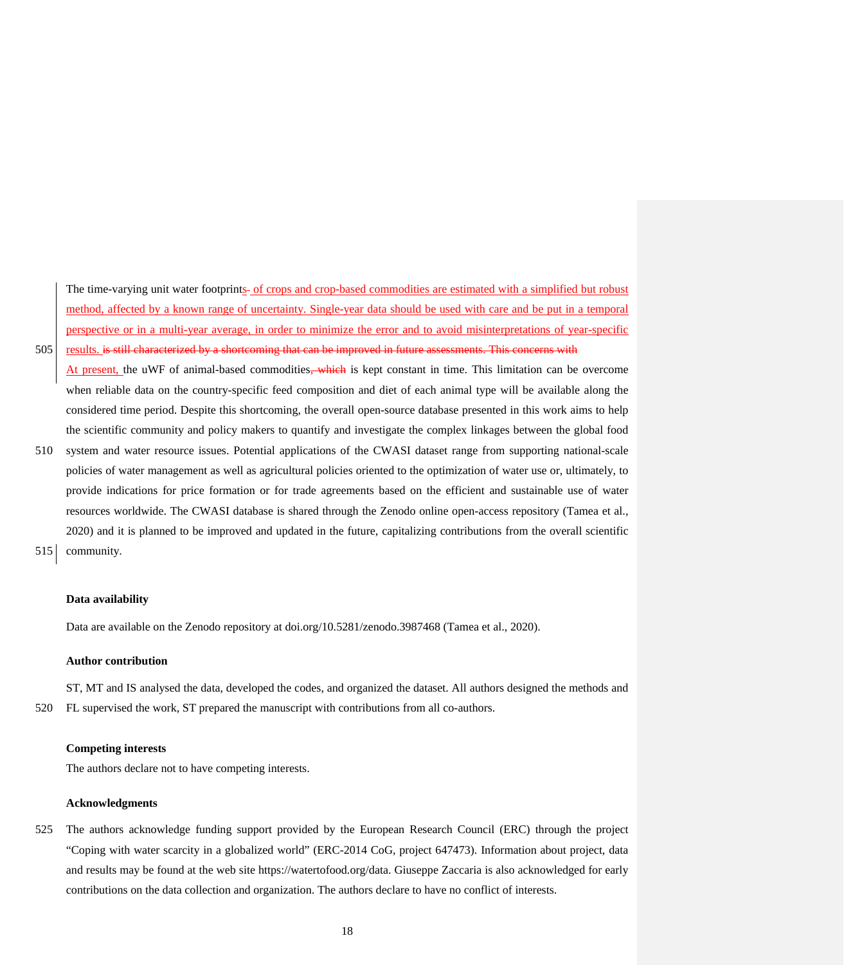The time-varying unit water footprints of crops and crop-based commodities are estimated with a simplified but robust method, affected by a known range of uncertainty. Single-year data should be used with care and be put in a temporal perspective or in a multi-year average, in order to minimize the error and to avoid misinterpretations of year-specific 505 results. is still characterized by a shortcoming that can be improved in future assessments. This concerns with

At present, the uWF of animal-based commodities, which is kept constant in time. This limitation can be overcome when reliable data on the country-specific feed composition and diet of each animal type will be available along the considered time period. Despite this shortcoming, the overall open-source database presented in this work aims to help the scientific community and policy makers to quantify and investigate the complex linkages between the global food

- 510 system and water resource issues. Potential applications of the CWASI dataset range from supporting national-scale policies of water management as well as agricultural policies oriented to the optimization of water use or, ultimately, to provide indications for price formation or for trade agreements based on the efficient and sustainable use of water resources worldwide. The CWASI database is shared through the Zenodo online open-access repository (Tamea et al., 2020) and it is planned to be improved and updated in the future, capitalizing contributions from the overall scientific
- 515 community.

## **Data availability**

Data are available on the Zenodo repository at doi.org/10.5281/zenodo.3987468 (Tamea et al., 2020).

## **Author contribution**

ST, MT and IS analysed the data, developed the codes, and organized the dataset. All authors designed the methods and 520 FL supervised the work, ST prepared the manuscript with contributions from all co-authors.

## **Competing interests**

The authors declare not to have competing interests.

#### **Acknowledgments**

525 The authors acknowledge funding support provided by the European Research Council (ERC) through the project "Coping with water scarcity in a globalized world" (ERC-2014 CoG, project 647473). Information about project, data and results may be found at the web site https://watertofood.org/data. Giuseppe Zaccaria is also acknowledged for early contributions on the data collection and organization. The authors declare to have no conflict of interests.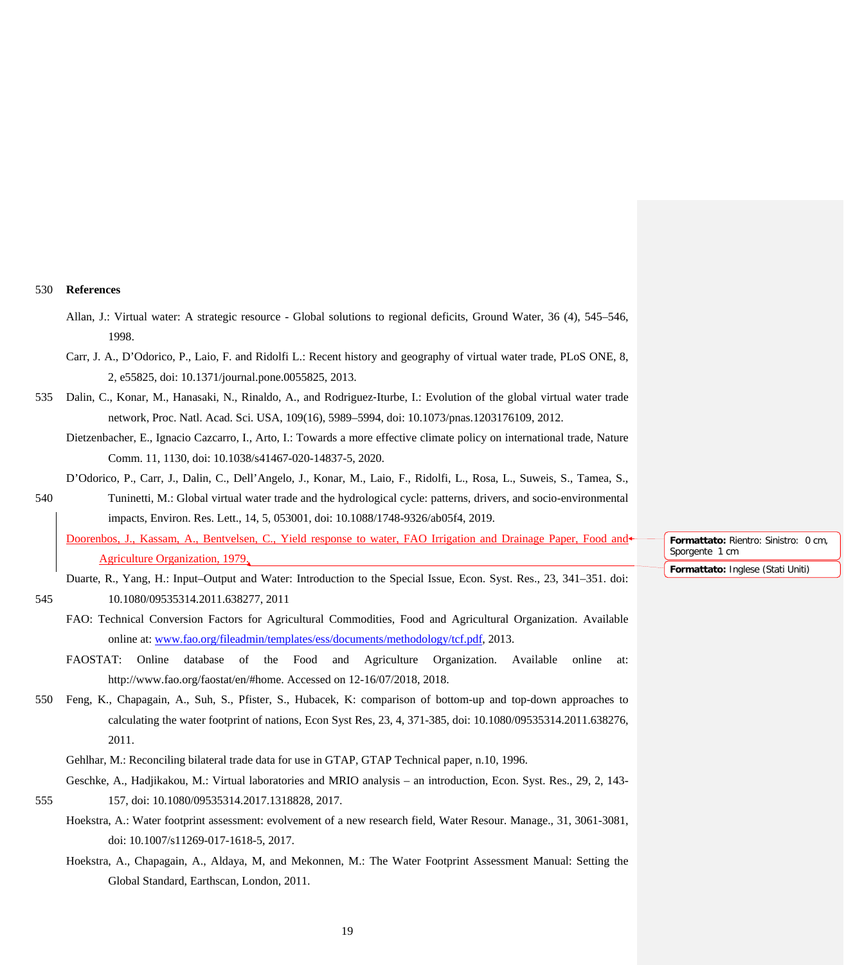# 530 **References**

|     | Allan, J.: Virtual water: A strategic resource - Global solutions to regional deficits, Ground Water, 36 (4), 545-546,<br>1998.                    |                                                        |
|-----|----------------------------------------------------------------------------------------------------------------------------------------------------|--------------------------------------------------------|
|     | Carr, J. A., D'Odorico, P., Laio, F. and Ridolfi L.: Recent history and geography of virtual water trade, PLoS ONE, 8,                             |                                                        |
|     | 2, e55825, doi: 10.1371/journal.pone.0055825, 2013.                                                                                                |                                                        |
| 535 | Dalin, C., Konar, M., Hanasaki, N., Rinaldo, A., and Rodriguez-Iturbe, I.: Evolution of the global virtual water trade                             |                                                        |
|     | network, Proc. Natl. Acad. Sci. USA, 109(16), 5989-5994, doi: 10.1073/pnas.1203176109, 2012.                                                       |                                                        |
|     | Dietzenbacher, E., Ignacio Cazcarro, I., Arto, I.: Towards a more effective climate policy on international trade, Nature                          |                                                        |
|     | Comm. 11, 1130, doi: 10.1038/s41467-020-14837-5, 2020.                                                                                             |                                                        |
|     | D'Odorico, P., Carr, J., Dalin, C., Dell'Angelo, J., Konar, M., Laio, F., Ridolfi, L., Rosa, L., Suweis, S., Tamea, S.,                            |                                                        |
| 540 | Tuninetti, M.: Global virtual water trade and the hydrological cycle: patterns, drivers, and socio-environmental                                   |                                                        |
|     | impacts, Environ. Res. Lett., 14, 5, 053001, doi: 10.1088/1748-9326/ab05f4, 2019.                                                                  |                                                        |
|     | Doorenbos, J., Kassam, A., Bentvelsen, C., Yield response to water, FAO Irrigation and Drainage Paper, Food and<br>Agriculture Organization, 1979, | Formattato: Rientro: Sinistro: 0 cm,<br>Sporgente 1 cm |
|     | Duarte, R., Yang, H.: Input-Output and Water: Introduction to the Special Issue, Econ. Syst. Res., 23, 341-351. doi:                               | Formattato: Inglese (Stati Uniti)                      |
| 545 | 10.1080/09535314.2011.638277, 2011                                                                                                                 |                                                        |
|     |                                                                                                                                                    |                                                        |
|     | FAO: Technical Conversion Factors for Agricultural Commodities, Food and Agricultural Organization. Available                                      |                                                        |
|     | online at: www.fao.org/fileadmin/templates/ess/documents/methodology/tcf.pdf, 2013.                                                                |                                                        |
|     | FAOSTAT: Online database of the Food and Agriculture Organization. Available online<br>at:                                                         |                                                        |
|     | http://www.fao.org/faostat/en/#home. Accessed on 12-16/07/2018, 2018.                                                                              |                                                        |
| 550 | Feng, K., Chapagain, A., Suh, S., Pfister, S., Hubacek, K: comparison of bottom-up and top-down approaches to                                      |                                                        |
|     | calculating the water footprint of nations, Econ Syst Res, 23, 4, 371-385, doi: 10.1080/09535314.2011.638276,                                      |                                                        |
|     | 2011.                                                                                                                                              |                                                        |
|     | Gehlhar, M.: Reconciling bilateral trade data for use in GTAP, GTAP Technical paper, n.10, 1996.                                                   |                                                        |
|     | Geschke, A., Hadjikakou, M.: Virtual laboratories and MRIO analysis - an introduction, Econ. Syst. Res., 29, 2, 143-                               |                                                        |
| 555 | 157, doi: 10.1080/09535314.2017.1318828, 2017.                                                                                                     |                                                        |
|     | Hoekstra, A.: Water footprint assessment: evolvement of a new research field, Water Resour. Manage., 31, 3061-3081,                                |                                                        |
|     | doi: 10.1007/s11269-017-1618-5, 2017.                                                                                                              |                                                        |
|     | Hoekstra, A., Chapagain, A., Aldaya, M, and Mekonnen, M.: The Water Footprint Assessment Manual: Setting the                                       |                                                        |
|     | Global Standard, Earthscan, London, 2011.                                                                                                          |                                                        |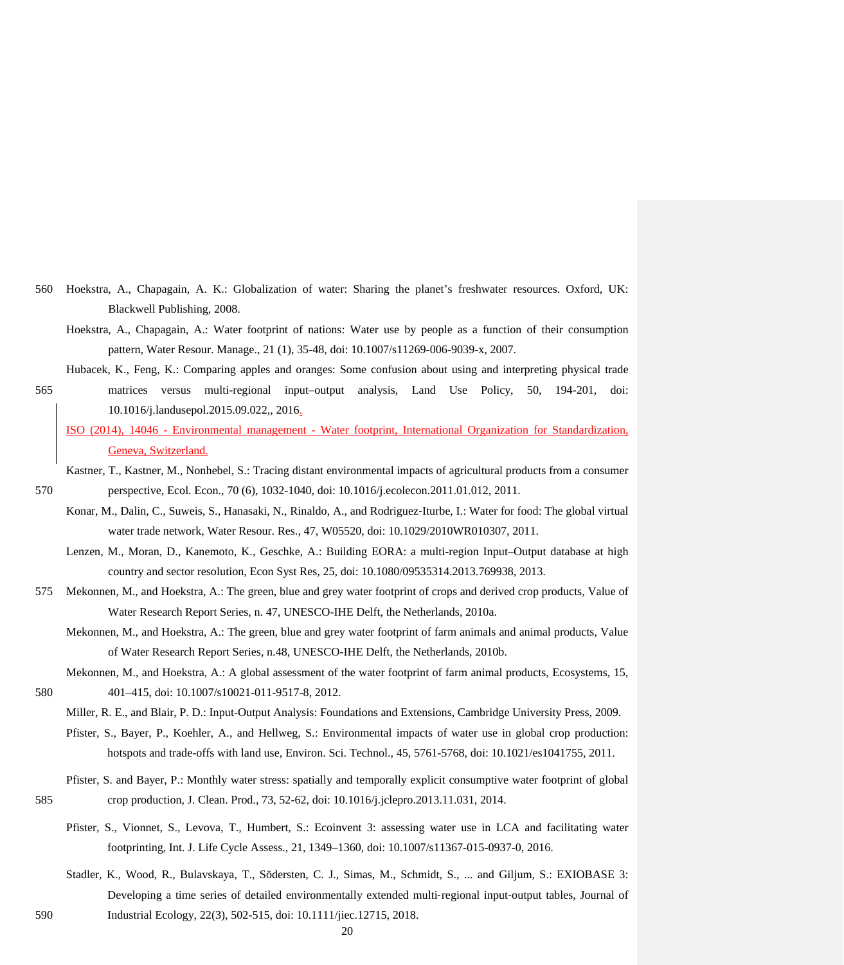- 560 Hoekstra, A., Chapagain, A. K.: Globalization of water: Sharing the planet's freshwater resources. Oxford, UK: Blackwell Publishing, 2008.
	- Hoekstra, A., Chapagain, A.: Water footprint of nations: Water use by people as a function of their consumption pattern, Water Resour. Manage., 21 (1), 35-48, doi: 10.1007/s11269-006-9039-x, 2007.
	- Hubacek, K., Feng, K.: Comparing apples and oranges: Some confusion about using and interpreting physical trade

565 matrices versus multi-regional input–output analysis, Land Use Policy, 50, 194-201, doi: 10.1016/j.landusepol.2015.09.022,, 2016.

- ISO (2014), 14046 Environmental management Water footprint, International Organization for Standardization, Geneva, Switzerland.
- Kastner, T., Kastner, M., Nonhebel, S.: Tracing distant environmental impacts of agricultural products from a consumer 570 perspective, Ecol. Econ., 70 (6), 1032-1040, doi: 10.1016/j.ecolecon.2011.01.012, 2011.
	- Konar, M., Dalin, C., Suweis, S., Hanasaki, N., Rinaldo, A., and Rodriguez‐Iturbe, I.: Water for food: The global virtual water trade network, Water Resour. Res., 47, W05520, doi: 10.1029/2010WR010307, 2011.
		- Lenzen, M., Moran, D., Kanemoto, K., Geschke, A.: Building EORA: a multi-region Input–Output database at high country and sector resolution, Econ Syst Res, 25, doi: 10.1080/09535314.2013.769938, 2013.
- 575 Mekonnen, M., and Hoekstra, A.: The green, blue and grey water footprint of crops and derived crop products, Value of Water Research Report Series, n. 47, UNESCO-IHE Delft, the Netherlands, 2010a.
	- Mekonnen, M., and Hoekstra, A.: The green, blue and grey water footprint of farm animals and animal products, Value of Water Research Report Series, n.48, UNESCO-IHE Delft, the Netherlands, 2010b.
- Mekonnen, M., and Hoekstra, A.: A global assessment of the water footprint of farm animal products, Ecosystems, 15, 580 401–415, doi: 10.1007/s10021-011-9517-8, 2012.
	- Miller, R. E., and Blair, P. D.: Input-Output Analysis: Foundations and Extensions, Cambridge University Press, 2009.
	- Pfister, S., Bayer, P., Koehler, A., and Hellweg, S.: Environmental impacts of water use in global crop production: hotspots and trade-offs with land use, Environ. Sci. Technol., 45, 5761-5768, doi: 10.1021/es1041755, 2011.
- Pfister, S. and Bayer, P.: Monthly water stress: spatially and temporally explicit consumptive water footprint of global 585 crop production, J. Clean. Prod., 73, 52-62, doi: 10.1016/j.jclepro.2013.11.031, 2014.
	- Pfister, S., Vionnet, S., Levova, T., Humbert, S.: Ecoinvent 3: assessing water use in LCA and facilitating water footprinting, Int. J. Life Cycle Assess., 21, 1349–1360, doi: 10.1007/s11367-015-0937-0, 2016.
- Stadler, K., Wood, R., Bulavskaya, T., Södersten, C. J., Simas, M., Schmidt, S., ... and Giljum, S.: EXIOBASE 3: Developing a time series of detailed environmentally extended multi-regional input-output tables, Journal of 590 Industrial Ecology, 22(3), 502-515, doi: 10.1111/jiec.12715, 2018.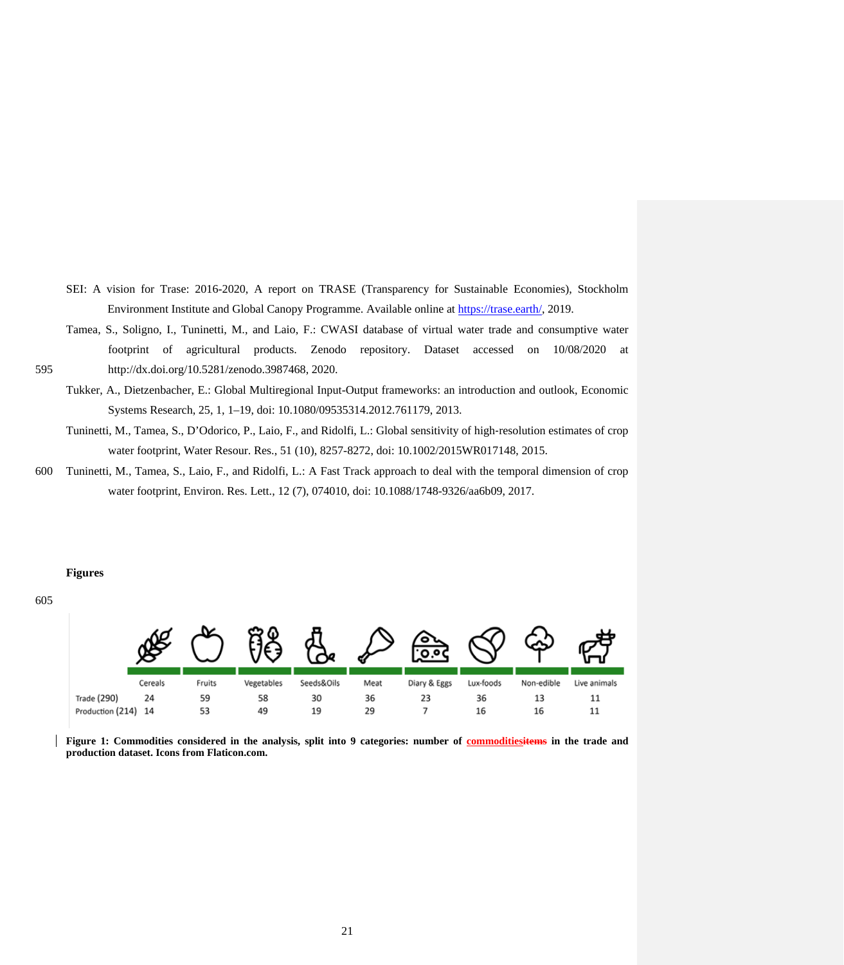- SEI: A vision for Trase: 2016-2020, A report on TRASE (Transparency for Sustainable Economies), Stockholm Environment Institute and Global Canopy Programme. Available online a[t https://trase.earth/,](https://trase.earth/) 2019.
- Tamea, S., Soligno, I., Tuninetti, M., and Laio, F.: CWASI database of virtual water trade and consumptive water footprint of agricultural products. Zenodo repository. Dataset accessed on 10/08/2020 at 595 http://dx.doi.org/10.5281/zenodo.3987468, 2020.
	- Tukker, A., Dietzenbacher, E.: Global Multiregional Input-Output frameworks: an introduction and outlook, Economic Systems Research, 25, 1, 1–19, doi: 10.1080/09535314.2012.761179, 2013.
	- Tuninetti, M., Tamea, S., D'Odorico, P., Laio, F., and Ridolfi, L.: Global sensitivity of high‐resolution estimates of crop water footprint, Water Resour. Res., 51 (10), 8257-8272, doi: 10.1002/2015WR017148, 2015.
- 600 Tuninetti, M., Tamea, S., Laio, F., and Ridolfi, L.: A Fast Track approach to deal with the temporal dimension of crop water footprint, Environ. Res. Lett., 12 (7), 074010, doi: 10.1088/1748-9326/aa6b09, 2017.

# **Figures**

605



**Figure 1: Commodities considered in the analysis, split into 9 categories: number of commoditiesitems in the trade and production dataset. Icons from Flaticon.com.**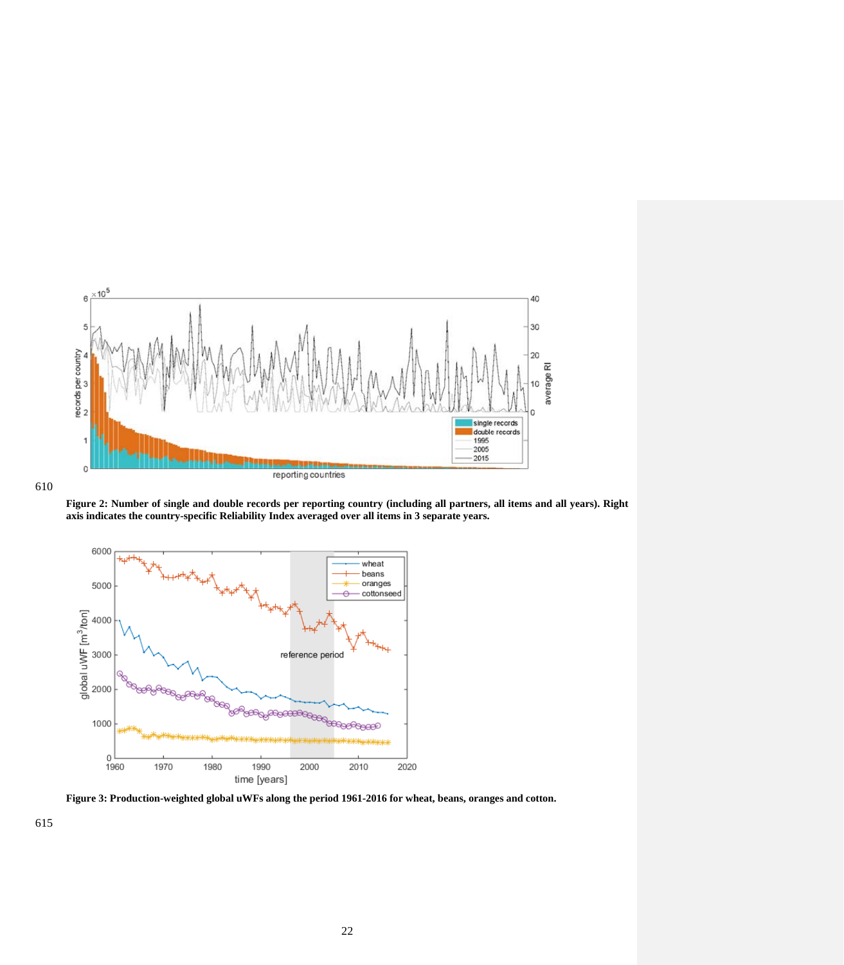

610

**Figure 2: Number of single and double records per reporting country (including all partners, all items and all years). Right axis indicates the country-specific Reliability Index averaged over all items in 3 separate years.**



**Figure 3: Production-weighted global uWFs along the period 1961-2016 for wheat, beans, oranges and cotton.**

615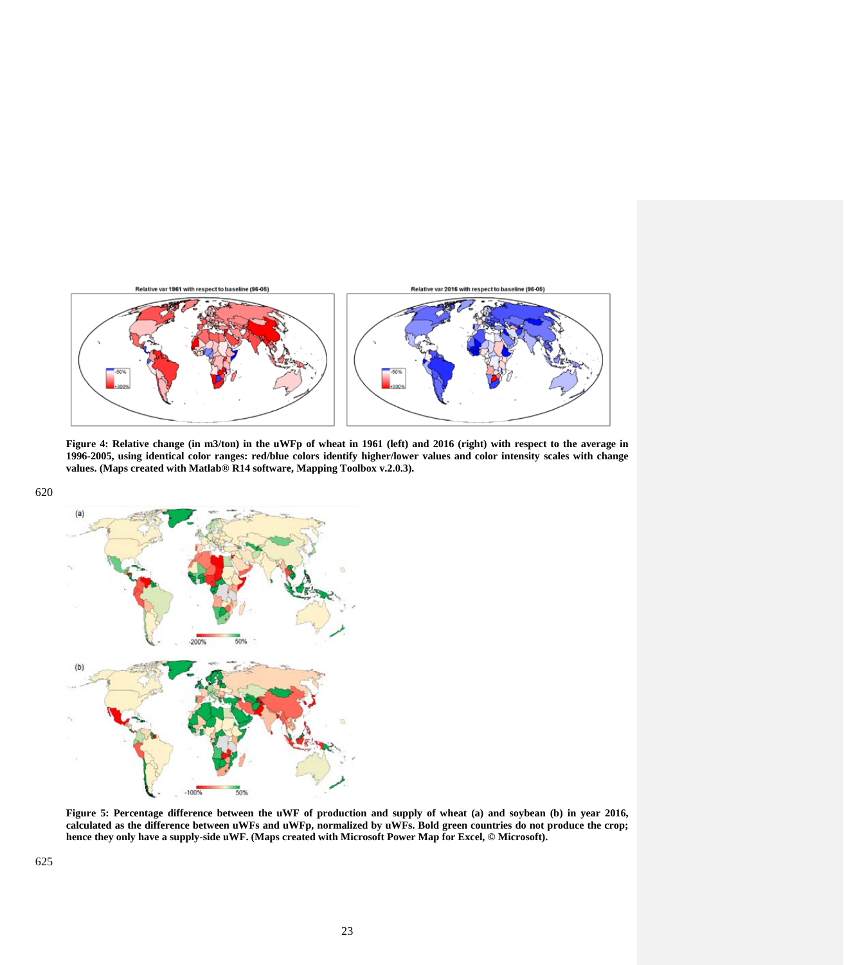

**Figure 4: Relative change (in m3/ton) in the uWFp of wheat in 1961 (left) and 2016 (right) with respect to the average in 1996-2005, using identical color ranges: red/blue colors identify higher/lower values and color intensity scales with change values. (Maps created with Matlab® R14 software, Mapping Toolbox v.2.0.3).**



**Figure 5: Percentage difference between the uWF of production and supply of wheat (a) and soybean (b) in year 2016, calculated as the difference between uWFs and uWFp, normalized by uWFs. Bold green countries do not produce the crop; hence they only have a supply-side uWF. (Maps created with Microsoft Power Map for Excel, © Microsoft).**

620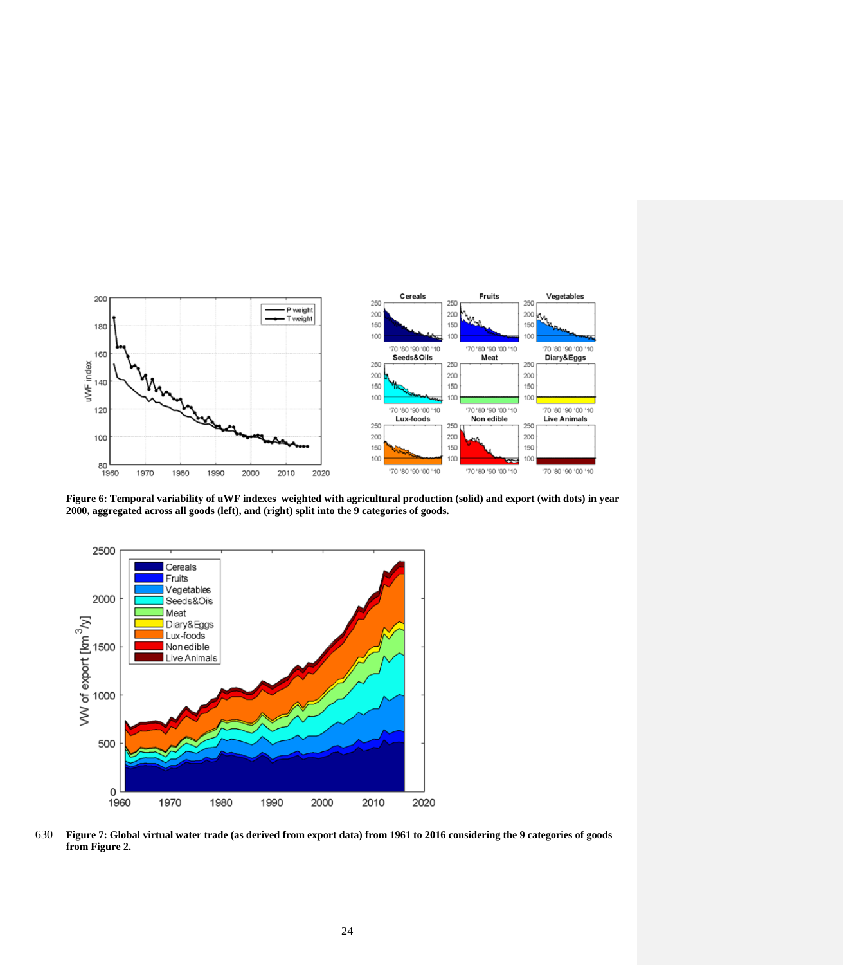

**Figure 6: Temporal variability of uWF indexes weighted with agricultural production (solid) and export (with dots) in year 2000, aggregated across all goods (left), and (right) split into the 9 categories of goods.** 



630 **Figure 7: Global virtual water trade (as derived from export data) from 1961 to 2016 considering the 9 categories of goods from Figure 2.**